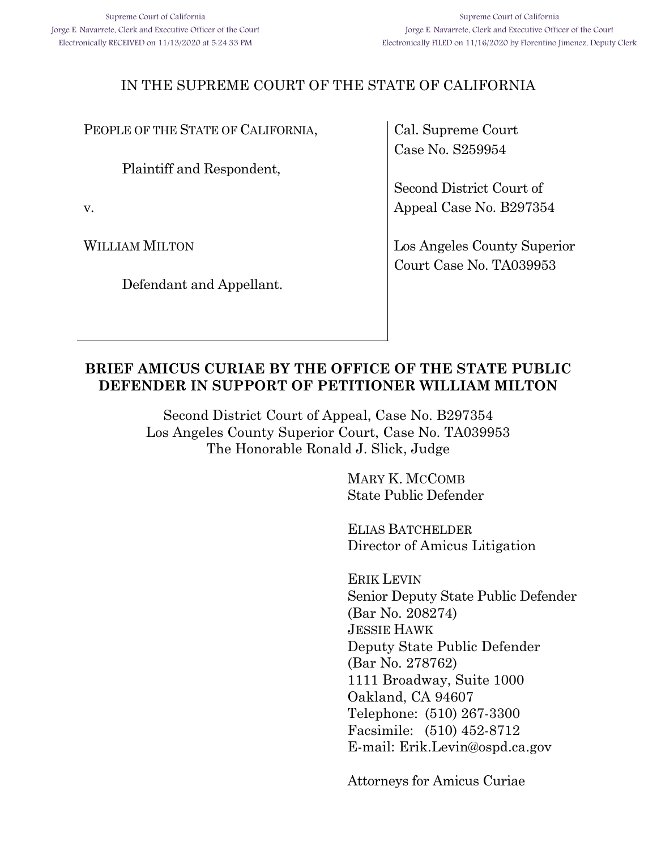## IN THE SUPREME COURT OF THE STATE OF CALIFORNIA

PEOPLE OF THE STATE OF CALIFORNIA,

Plaintiff and Respondent,

v.

WILLIAM MILTON

Defendant and Appellant.

Cal. Supreme Court Case No. S259954

Second District Court of Appeal Case No. B297354

Los Angeles County Superior Court Case No. TA039953

### **BRIEF AMICUS CURIAE BY THE OFFICE OF THE STATE PUBLIC DEFENDER IN SUPPORT OF PETITIONER WILLIAM MILTON**

Second District Court of Appeal, Case No. B297354 Los Angeles County Superior Court, Case No. TA039953 The Honorable Ronald J. Slick, Judge

> MARY K. MCCOMB State Public Defender

ELIAS BATCHELDER Director of Amicus Litigation

ERIK LEVIN Senior Deputy State Public Defender (Bar No. 208274) JESSIE HAWK Deputy State Public Defender (Bar No. 278762) 1111 Broadway, Suite 1000 Oakland, CA 94607 Telephone: (510) 267-3300 Facsimile: (510) 452-8712 E-mail: Erik.Levin@ospd.ca.gov

Attorneys for Amicus Curiae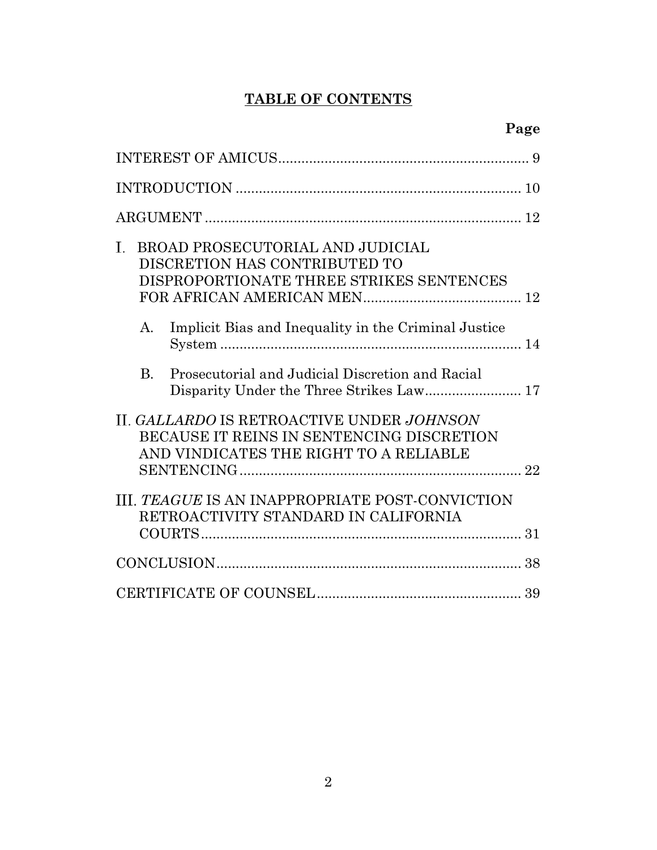# **TABLE OF CONTENTS**

| BROAD PROSECUTORIAL AND JUDICIAL<br>Ι.<br>DISCRETION HAS CONTRIBUTED TO<br>DISPROPORTIONATE THREE STRIKES SENTENCES              |
|----------------------------------------------------------------------------------------------------------------------------------|
| Implicit Bias and Inequality in the Criminal Justice<br>A.                                                                       |
| Prosecutorial and Judicial Discretion and Racial<br>$\mathbf{B}$ .                                                               |
| II. GALLARDO IS RETROACTIVE UNDER JOHNSON<br>BECAUSE IT REINS IN SENTENCING DISCRETION<br>AND VINDICATES THE RIGHT TO A RELIABLE |
| III. TEAGUE IS AN INAPPROPRIATE POST-CONVICTION<br>RETROACTIVITY STANDARD IN CALIFORNIA                                          |
| 38                                                                                                                               |
|                                                                                                                                  |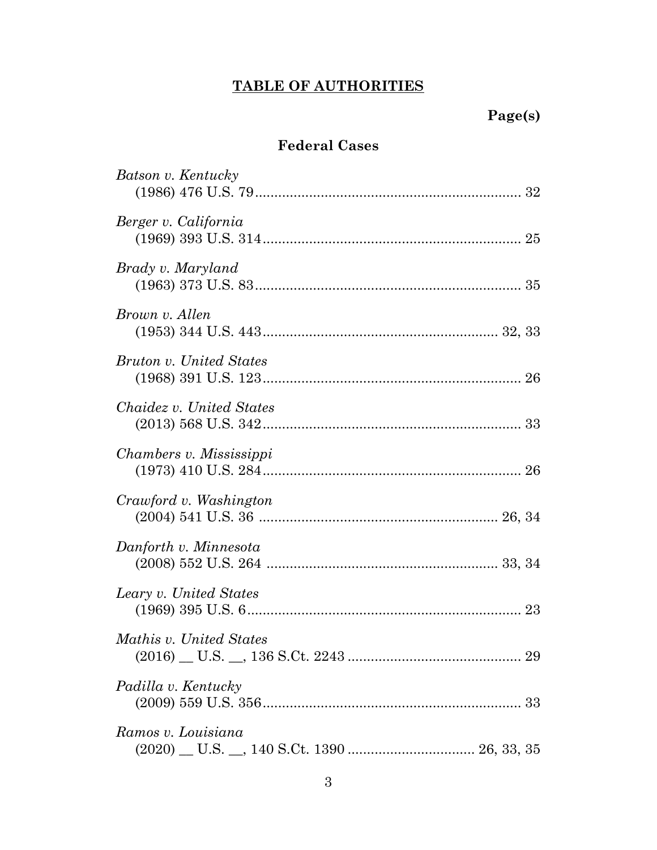# **TABLE OF AUTHORITIES**

# **Page(s)**

## **Federal Cases**

| Batson v. Kentucky       |
|--------------------------|
| Berger v. California     |
| Brady v. Maryland        |
| Brown v. Allen           |
| Bruton v. United States  |
| Chaidez v. United States |
| Chambers v. Mississippi  |
| Crawford v. Washington   |
| Danforth v. Minnesota    |
| Leary v. United States   |
| Mathis v. United States  |
| Padilla v. Kentucky      |
| Ramos v. Louisiana       |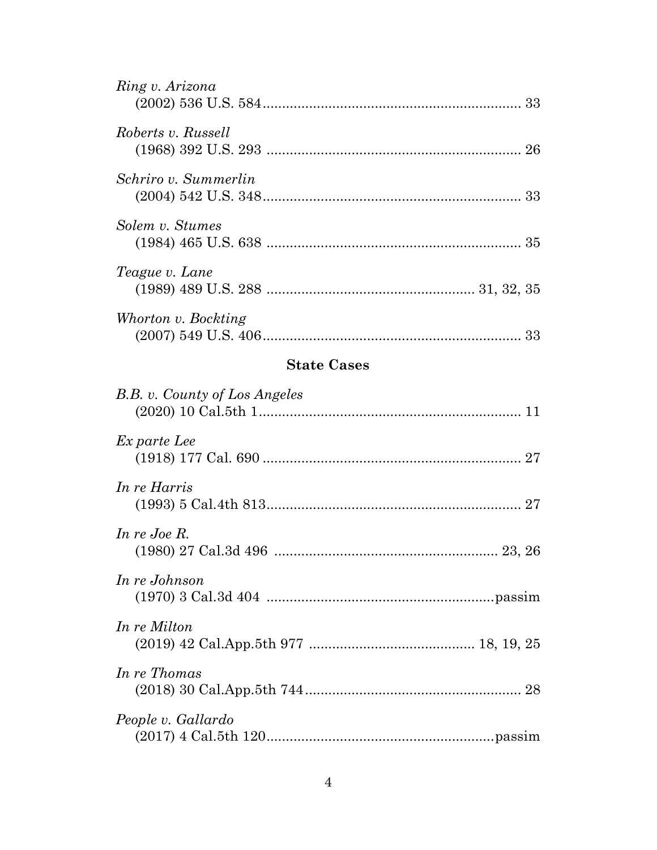| Ring v. Arizona       |  |
|-----------------------|--|
| Roberts v. Russell    |  |
| Schriro v. Summerlin  |  |
| Solem v. Stumes       |  |
| <i>Teague v. Lane</i> |  |
| Whorton v. Bockting   |  |

## **State Cases**

| B.B. v. County of Los Angeles |  |
|-------------------------------|--|
| Ex parte Lee                  |  |
| In re Harris                  |  |
| In re Joe R.                  |  |
| In re Johnson                 |  |
| In re Milton                  |  |
| In re Thomas                  |  |
| People v. Gallardo            |  |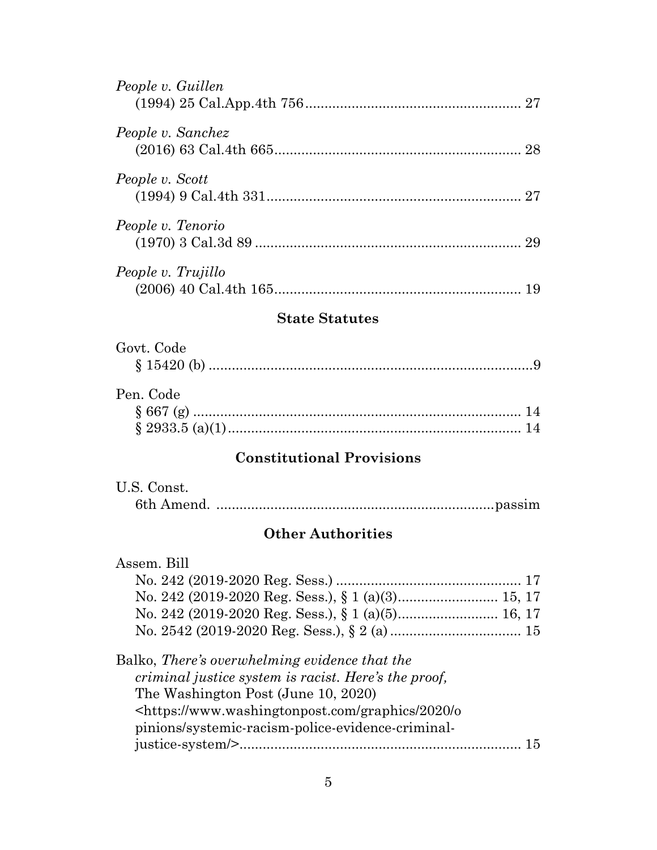| People v. Guillen  |  |
|--------------------|--|
| People v. Sanchez  |  |
| People v. Scott    |  |
| People v. Tenorio  |  |
| People v. Trujillo |  |

## **State Statutes**

| Govt. Code     |  |
|----------------|--|
| $\{15420(h)\}$ |  |

## Pen. Code § 667 (g) ..................................................................................... 14 § 2933.5 (a)(1)............................................................................ 14

## **Constitutional Provisions**

| U.S. Const. |  |
|-------------|--|
|             |  |

## **Other Authorities**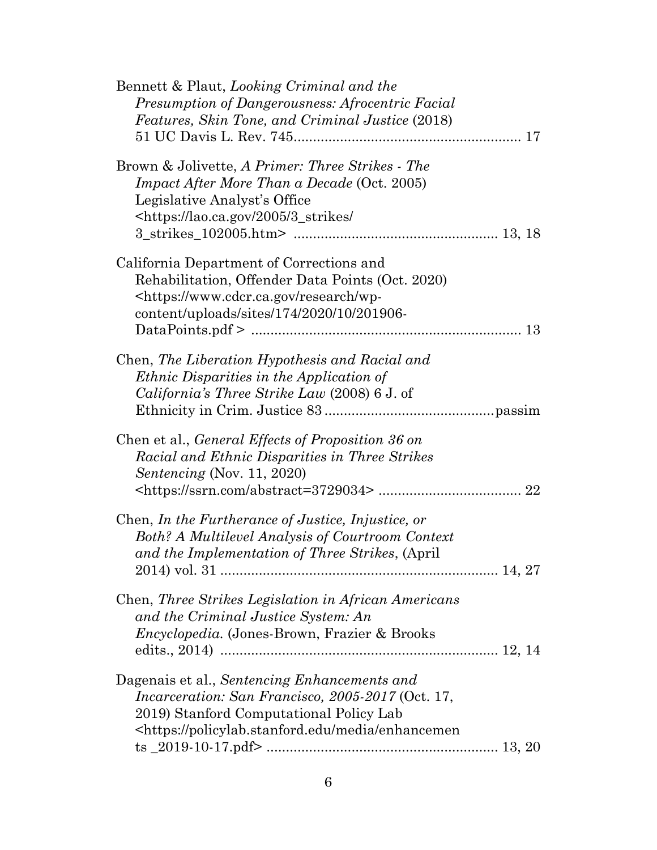| Bennett & Plaut, Looking Criminal and the<br>Presumption of Dangerousness: Afrocentric Facial<br>Features, Skin Tone, and Criminal Justice (2018)                                                                                |
|----------------------------------------------------------------------------------------------------------------------------------------------------------------------------------------------------------------------------------|
| Brown & Jolivette, A Primer: Three Strikes - The<br><i>Impact After More Than a Decade</i> (Oct. 2005)<br>Legislative Analyst's Office<br>https://lao.ca.gov/2005/3_strikes/                                                     |
| California Department of Corrections and<br>Rehabilitation, Offender Data Points (Oct. 2020)<br><https: research="" wp-<br="" www.cdcr.ca.gov="">content/uploads/sites/174/2020/10/201906-</https:>                              |
| Chen, The Liberation Hypothesis and Racial and<br><i>Ethnic Disparities in the Application of</i><br>California's Three Strike Law (2008) 6 J. of                                                                                |
| Chen et al., General Effects of Proposition 36 on<br>Racial and Ethnic Disparities in Three Strikes<br><i>Sentencing</i> (Nov. 11, 2020)                                                                                         |
| Chen, In the Furtherance of Justice, Injustice, or<br><b>Both? A Multilevel Analysis of Courtroom Context</b><br>and the Implementation of Three Strikes, (April                                                                 |
| Chen, Three Strikes Legislation in African Americans<br>and the Criminal Justice System: An<br>Encyclopedia. (Jones-Brown, Frazier & Brooks                                                                                      |
| Dagenais et al., Sentencing Enhancements and<br><i>Incarceration: San Francisco, 2005-2017</i> (Oct. 17,<br>2019) Stanford Computational Policy Lab<br><https: enhancemen<="" media="" policylab.stanford.edu="" td=""></https:> |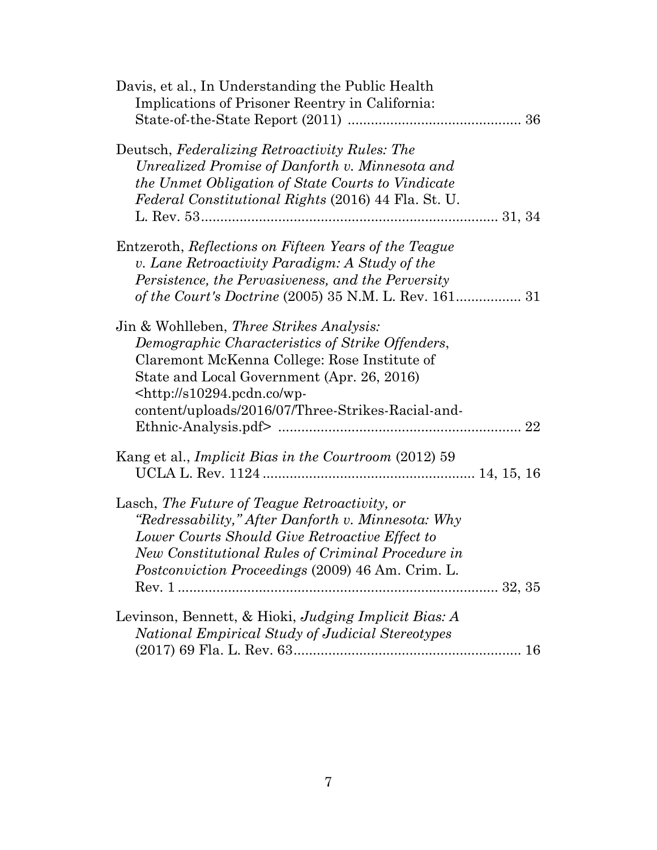| Davis, et al., In Understanding the Public Health<br>Implications of Prisoner Reentry in California:                                                                                                                                                                                                 |  |
|------------------------------------------------------------------------------------------------------------------------------------------------------------------------------------------------------------------------------------------------------------------------------------------------------|--|
|                                                                                                                                                                                                                                                                                                      |  |
| Deutsch, Federalizing Retroactivity Rules: The<br>Unrealized Promise of Danforth v. Minnesota and<br>the Unmet Obligation of State Courts to Vindicate<br><i>Federal Constitutional Rights</i> (2016) 44 Fla. St. U.                                                                                 |  |
| Entzeroth, Reflections on Fifteen Years of the Teague<br>v. Lane Retroactivity Paradigm: A Study of the<br>Persistence, the Pervasiveness, and the Perversity                                                                                                                                        |  |
| Jin & Wohlleben, <i>Three Strikes Analysis:</i><br>Demographic Characteristics of Strike Offenders,<br>Claremont McKenna College: Rose Institute of<br>State and Local Government (Apr. 26, 2016)<br>$\langle \text{http://s10294.pcdn.co/wp-}$<br>content/uploads/2016/07/Three-Strikes-Racial-and- |  |
| Kang et al., <i>Implicit Bias in the Courtroom</i> (2012) 59                                                                                                                                                                                                                                         |  |
| Lasch, The Future of Teague Retroactivity, or<br>"Redressability," After Danforth v. Minnesota: Why<br>Lower Courts Should Give Retroactive Effect to<br>New Constitutional Rules of Criminal Procedure in<br><i>Postconviction Proceedings</i> (2009) 46 Am. Crim. L.                               |  |
|                                                                                                                                                                                                                                                                                                      |  |
| Levinson, Bennett, & Hioki, Judging Implicit Bias: A<br>National Empirical Study of Judicial Stereotypes                                                                                                                                                                                             |  |
|                                                                                                                                                                                                                                                                                                      |  |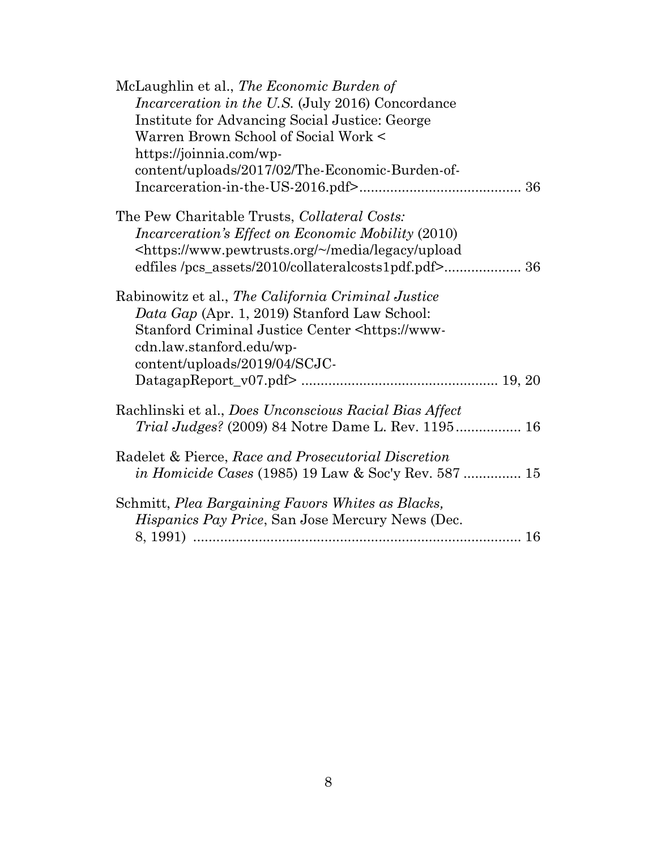| McLaughlin et al., The Economic Burden of                                       |
|---------------------------------------------------------------------------------|
| <i>Incarceration in the U.S.</i> (July 2016) Concordance                        |
| Institute for Advancing Social Justice: George                                  |
| Warren Brown School of Social Work <                                            |
| https://joinnia.com/wp-                                                         |
| content/uploads/2017/02/The-Economic-Burden-of-                                 |
|                                                                                 |
| The Pew Charitable Trusts, Collateral Costs:                                    |
| <i>Incarceration's Effect on Economic Mobility (2010)</i>                       |
| <https: legacy="" media="" td="" upload<="" www.pewtrusts.org="" ~=""></https:> |
|                                                                                 |
| Rabinowitz et al., The California Criminal Justice                              |
| Data Gap (Apr. 1, 2019) Stanford Law School:                                    |
| Stanford Criminal Justice Center <https: td="" www-<=""></https:>               |
| cdn.law.stanford.edu/wp-                                                        |
| content/uploads/2019/04/SCJC-                                                   |
|                                                                                 |
| Rachlinski et al., Does Unconscious Racial Bias Affect                          |
| <i>Trial Judges?</i> (2009) 84 Notre Dame L. Rev. 1195 16                       |
| Radelet & Pierce, Race and Prosecutorial Discretion                             |
| <i>in Homicide Cases</i> (1985) 19 Law & Soc'y Rev. 587  15                     |
| Schmitt, Plea Bargaining Favors Whites as Blacks,                               |
| <i>Hispanics Pay Price, San Jose Mercury News (Dec.</i>                         |
|                                                                                 |
|                                                                                 |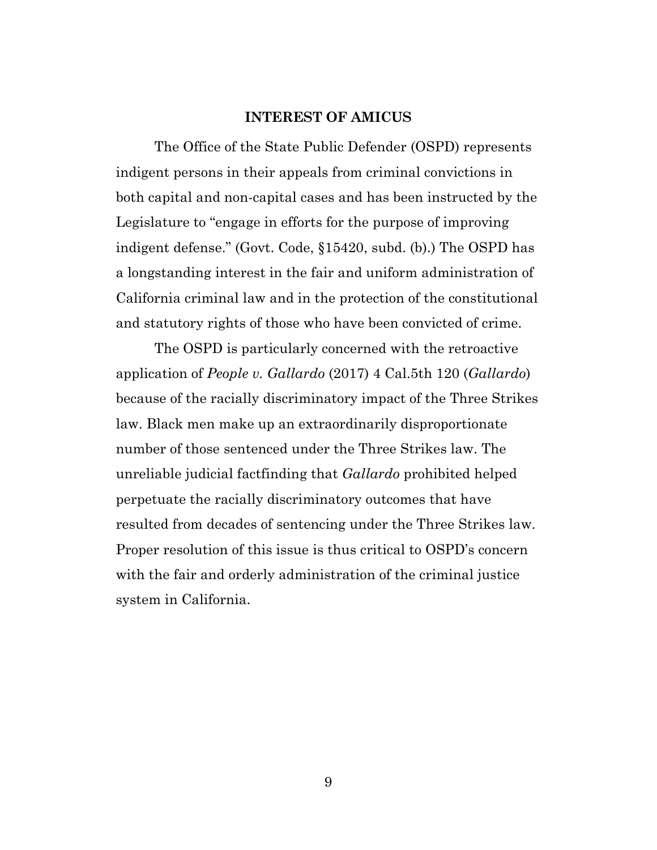#### **INTEREST OF AMICUS**

<span id="page-8-0"></span>The Office of the State Public Defender (OSPD) represents indigent persons in their appeals from criminal convictions in both capital and non-capital cases and has been instructed by the Legislature to "engage in efforts for the purpose of improving indigent defense." (Govt. Code, §15420, subd. (b).) The OSPD has a longstanding interest in the fair and uniform administration of California criminal law and in the protection of the constitutional and statutory rights of those who have been convicted of crime.

The OSPD is particularly concerned with the retroactive application of *People v. Gallardo* (2017) 4 Cal.5th 120 (*Gallardo*) because of the racially discriminatory impact of the Three Strikes law. Black men make up an extraordinarily disproportionate number of those sentenced under the Three Strikes law. The unreliable judicial factfinding that *Gallardo* prohibited helped perpetuate the racially discriminatory outcomes that have resulted from decades of sentencing under the Three Strikes law. Proper resolution of this issue is thus critical to OSPD's concern with the fair and orderly administration of the criminal justice system in California.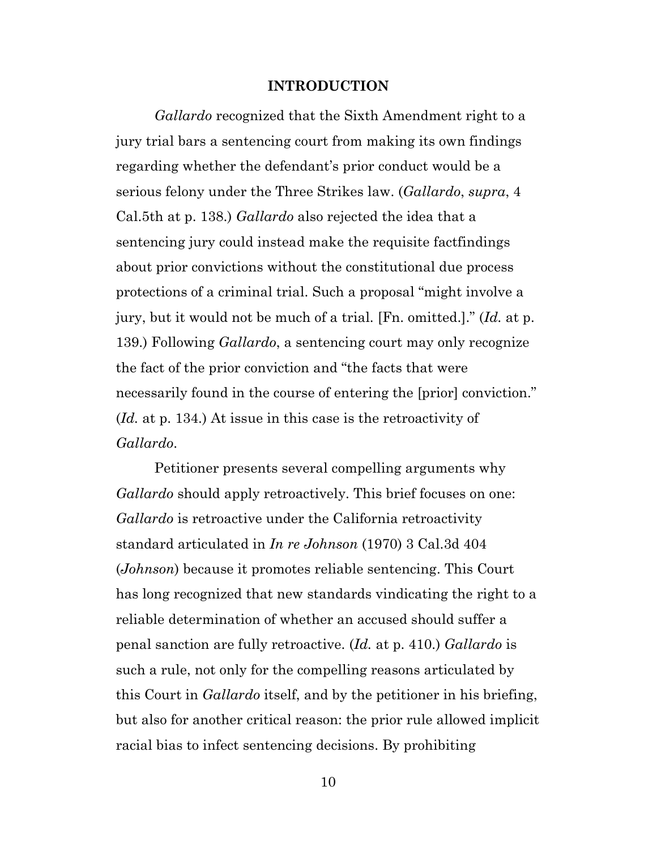#### **INTRODUCTION**

<span id="page-9-0"></span>*Gallardo* recognized that the Sixth Amendment right to a jury trial bars a sentencing court from making its own findings regarding whether the defendant's prior conduct would be a serious felony under the Three Strikes law. (*Gallardo*, *supra*, 4 Cal.5th at p. 138.) *Gallardo* also rejected the idea that a sentencing jury could instead make the requisite factfindings about prior convictions without the constitutional due process protections of a criminal trial. Such a proposal "might involve a jury, but it would not be much of a trial. [Fn. omitted.]." (*Id.* at p. 139.) Following *Gallardo*, a sentencing court may only recognize the fact of the prior conviction and "the facts that were necessarily found in the course of entering the [prior] conviction." (*Id.* at p. 134.) At issue in this case is the retroactivity of *Gallardo*.

Petitioner presents several compelling arguments why *Gallardo* should apply retroactively. This brief focuses on one: *Gallardo* is retroactive under the California retroactivity standard articulated in *In re Johnson* (1970) 3 Cal.3d 404 (*Johnson*) because it promotes reliable sentencing. This Court has long recognized that new standards vindicating the right to a reliable determination of whether an accused should suffer a penal sanction are fully retroactive. (*Id.* at p. 410.) *Gallardo* is such a rule, not only for the compelling reasons articulated by this Court in *Gallardo* itself, and by the petitioner in his briefing, but also for another critical reason: the prior rule allowed implicit racial bias to infect sentencing decisions. By prohibiting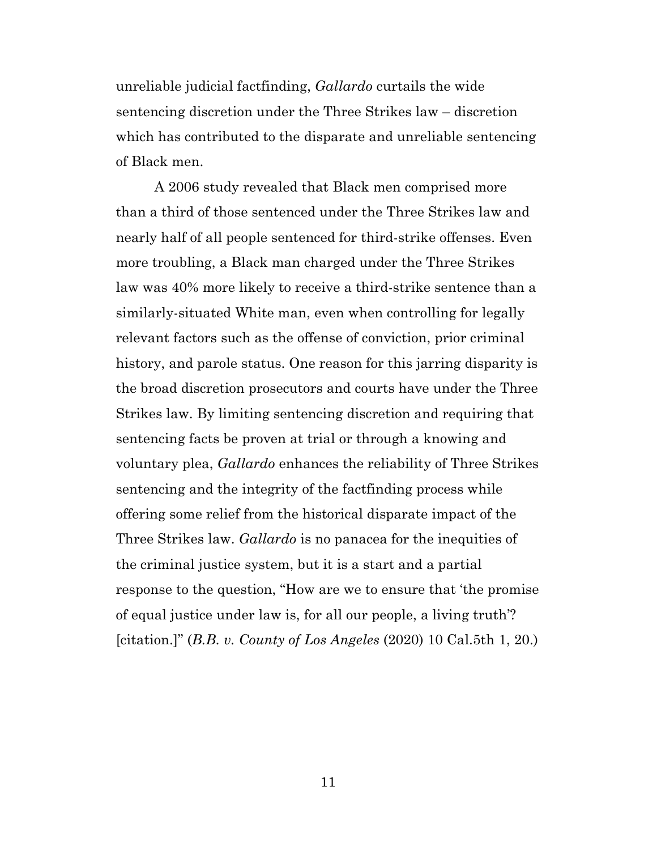unreliable judicial factfinding, *Gallardo* curtails the wide sentencing discretion under the Three Strikes law – discretion which has contributed to the disparate and unreliable sentencing of Black men.

A 2006 study revealed that Black men comprised more than a third of those sentenced under the Three Strikes law and nearly half of all people sentenced for third-strike offenses. Even more troubling, a Black man charged under the Three Strikes law was 40% more likely to receive a third-strike sentence than a similarly-situated White man, even when controlling for legally relevant factors such as the offense of conviction, prior criminal history, and parole status. One reason for this jarring disparity is the broad discretion prosecutors and courts have under the Three Strikes law. By limiting sentencing discretion and requiring that sentencing facts be proven at trial or through a knowing and voluntary plea, *Gallardo* enhances the reliability of Three Strikes sentencing and the integrity of the factfinding process while offering some relief from the historical disparate impact of the Three Strikes law. *Gallardo* is no panacea for the inequities of the criminal justice system, but it is a start and a partial response to the question, "How are we to ensure that 'the promise of equal justice under law is, for all our people, a living truth'? [citation.]" (*B.B. v. County of Los Angeles* (2020) 10 Cal.5th 1, 20.)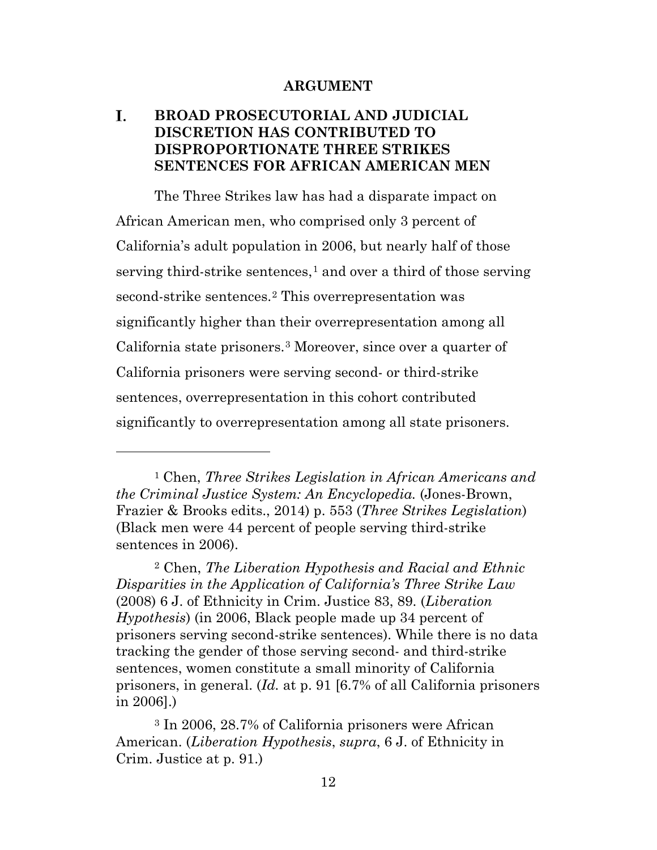#### **ARGUMENT**

#### <span id="page-11-1"></span><span id="page-11-0"></span>I. **BROAD PROSECUTORIAL AND JUDICIAL DISCRETION HAS CONTRIBUTED TO DISPROPORTIONATE THREE STRIKES SENTENCES FOR AFRICAN AMERICAN MEN**

The Three Strikes law has had a disparate impact on African American men, who comprised only 3 percent of California's adult population in 2006, but nearly half of those serving third-strike sentences,<sup>[1](#page-11-2)</sup> and over a third of those serving second-strike sentences.<sup>[2](#page-11-3)</sup> This overrepresentation was significantly higher than their overrepresentation among all California state prisoners.[3](#page-11-4) Moreover, since over a quarter of California prisoners were serving second- or third-strike sentences, overrepresentation in this cohort contributed significantly to overrepresentation among all state prisoners.

<span id="page-11-2"></span><sup>1</sup> Chen, *Three Strikes Legislation in African Americans and the Criminal Justice System: An Encyclopedia.* (Jones-Brown, Frazier & Brooks edits., 2014) p. 553 (*Three Strikes Legislation*) (Black men were 44 percent of people serving third-strike sentences in 2006).

<span id="page-11-3"></span><sup>2</sup> Chen, *The Liberation Hypothesis and Racial and Ethnic Disparities in the Application of California's Three Strike Law* (2008) 6 J. of Ethnicity in Crim. Justice 83, 89. (*Liberation Hypothesis*) (in 2006, Black people made up 34 percent of prisoners serving second-strike sentences). While there is no data tracking the gender of those serving second- and third-strike sentences, women constitute a small minority of California prisoners, in general. (*Id.* at p. 91 [6.7% of all California prisoners in 2006].)

<span id="page-11-4"></span><sup>3</sup> In 2006, 28.7% of California prisoners were African American. (*Liberation Hypothesis*, *supra*, 6 J. of Ethnicity in Crim. Justice at p. 91.)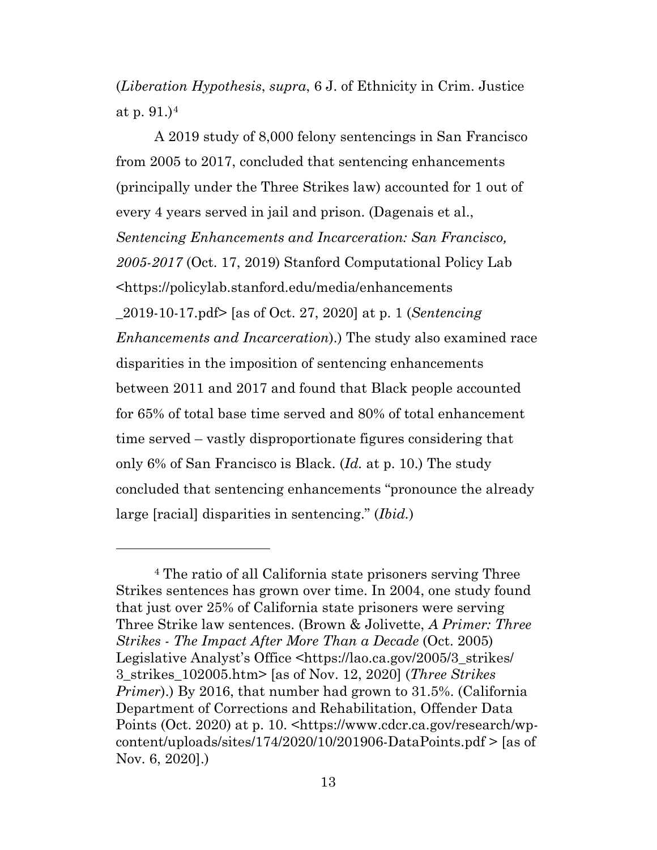(*Liberation Hypothesis*, *supra*, 6 J. of Ethnicity in Crim. Justice at p. 91.)[4](#page-12-0)

A 2019 study of 8,000 felony sentencings in San Francisco from 2005 to 2017, concluded that sentencing enhancements (principally under the Three Strikes law) accounted for 1 out of every 4 years served in jail and prison. (Dagenais et al., *Sentencing Enhancements and Incarceration: San Francisco, 2005-2017* (Oct. 17, 2019) Stanford Computational Policy Lab <https://policylab.stanford.edu/media/enhancements \_2019-10-17.pdf> [as of Oct. 27, 2020] at p. 1 (*Sentencing Enhancements and Incarceration*).) The study also examined race disparities in the imposition of sentencing enhancements between 2011 and 2017 and found that Black people accounted for 65% of total base time served and 80% of total enhancement time served – vastly disproportionate figures considering that only 6% of San Francisco is Black. (*Id.* at p. 10.) The study concluded that sentencing enhancements "pronounce the already large [racial] disparities in sentencing." (*Ibid.*)

<span id="page-12-0"></span><sup>4</sup> The ratio of all California state prisoners serving Three Strikes sentences has grown over time. In 2004, one study found that just over 25% of California state prisoners were serving Three Strike law sentences. (Brown & Jolivette, *A Primer: Three Strikes - The Impact After More Than a Decade* (Oct. 2005) Legislative Analyst's Office <https://lao.ca.gov/2005/3\_strikes/ 3\_strikes\_102005.htm> [as of Nov. 12, 2020] (*Three Strikes Primer*).) By 2016, that number had grown to 31.5%. (California Department of Corrections and Rehabilitation, Offender Data Points (Oct. 2020) at p. 10. <https://www.cdcr.ca.gov/research/wpcontent/uploads/sites/174/2020/10/201906-DataPoints.pdf > [as of Nov. 6, 2020].)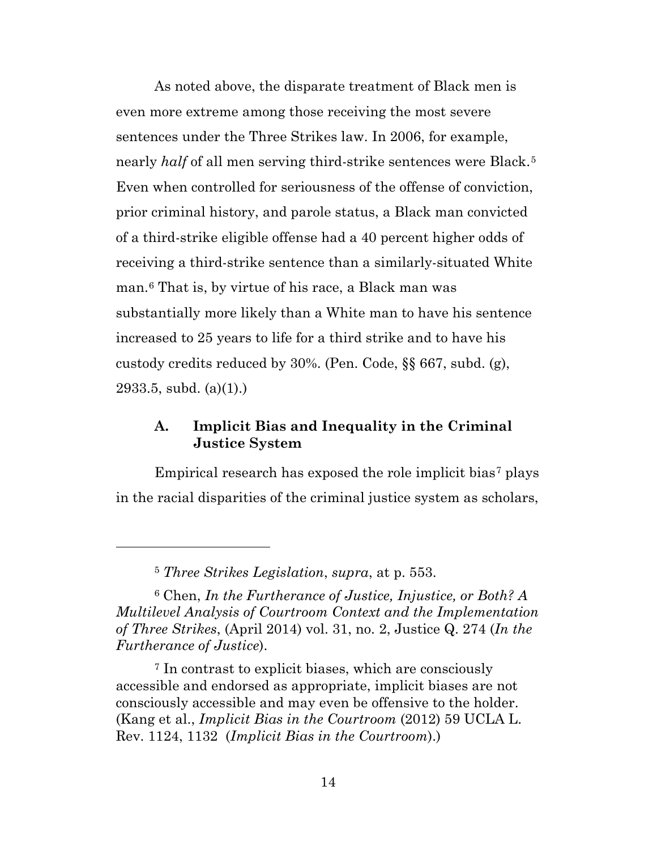As noted above, the disparate treatment of Black men is even more extreme among those receiving the most severe sentences under the Three Strikes law. In 2006, for example, nearly *half* of all men serving third-strike sentences were Black.<sup>[5](#page-13-1)</sup> Even when controlled for seriousness of the offense of conviction, prior criminal history, and parole status, a Black man convicted of a third-strike eligible offense had a 40 percent higher odds of receiving a third-strike sentence than a similarly-situated White man.[6](#page-13-2) That is, by virtue of his race, a Black man was substantially more likely than a White man to have his sentence increased to 25 years to life for a third strike and to have his custody credits reduced by 30%. (Pen. Code, §§ 667, subd. (g), 2933.5, subd. (a)(1).)

### <span id="page-13-0"></span>**A. Implicit Bias and Inequality in the Criminal Justice System**

Empirical research has exposed the role implicit bias<sup>[7](#page-13-3)</sup> plays in the racial disparities of the criminal justice system as scholars,

<span id="page-13-2"></span><span id="page-13-1"></span><sup>6</sup> Chen, *In the Furtherance of Justice, Injustice, or Both? A Multilevel Analysis of Courtroom Context and the Implementation of Three Strikes*, (April 2014) vol. 31, no. 2, Justice Q. 274 (*In the Furtherance of Justice*).

<span id="page-13-3"></span><sup>7</sup> In contrast to explicit biases, which are consciously accessible and endorsed as appropriate, implicit biases are not consciously accessible and may even be offensive to the holder. (Kang et al., *Implicit Bias in the Courtroom* (2012) 59 UCLA L. Rev. 1124, 1132 (*Implicit Bias in the Courtroom*).)

<sup>5</sup> *Three Strikes Legislation*, *supra*, at p. 553.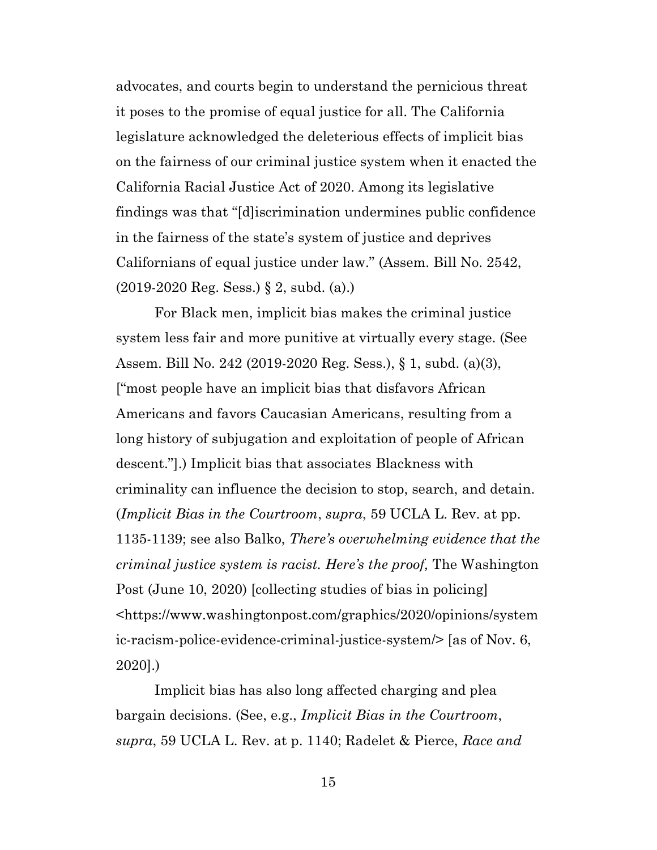advocates, and courts begin to understand the pernicious threat it poses to the promise of equal justice for all. The California legislature acknowledged the deleterious effects of implicit bias on the fairness of our criminal justice system when it enacted the California Racial Justice Act of 2020. Among its legislative findings was that "[d]iscrimination undermines public confidence in the fairness of the state's system of justice and deprives Californians of equal justice under law." (Assem. Bill No. 2542, (2019-2020 Reg. Sess.) § 2, subd. (a).)

For Black men, implicit bias makes the criminal justice system less fair and more punitive at virtually every stage. (See Assem. Bill No. 242 (2019-2020 Reg. Sess.), § 1, subd. (a)(3), ["most people have an implicit bias that disfavors African Americans and favors Caucasian Americans, resulting from a long history of subjugation and exploitation of people of African descent."].) Implicit bias that associates Blackness with criminality can influence the decision to stop, search, and detain. (*Implicit Bias in the Courtroom*, *supra*, 59 UCLA L. Rev. at pp. 1135-1139; see also Balko, *There's overwhelming evidence that the criminal justice system is racist. Here's the proof,* The Washington Post (June 10, 2020) [collecting studies of bias in policing] <https://www.washingtonpost.com/graphics/2020/opinions/system ic-racism-police-evidence-criminal-justice-system/> [as of Nov. 6, 2020].)

Implicit bias has also long affected charging and plea bargain decisions. (See, e.g., *Implicit Bias in the Courtroom*, *supra*, 59 UCLA L. Rev. at p. 1140; Radelet & Pierce, *Race and*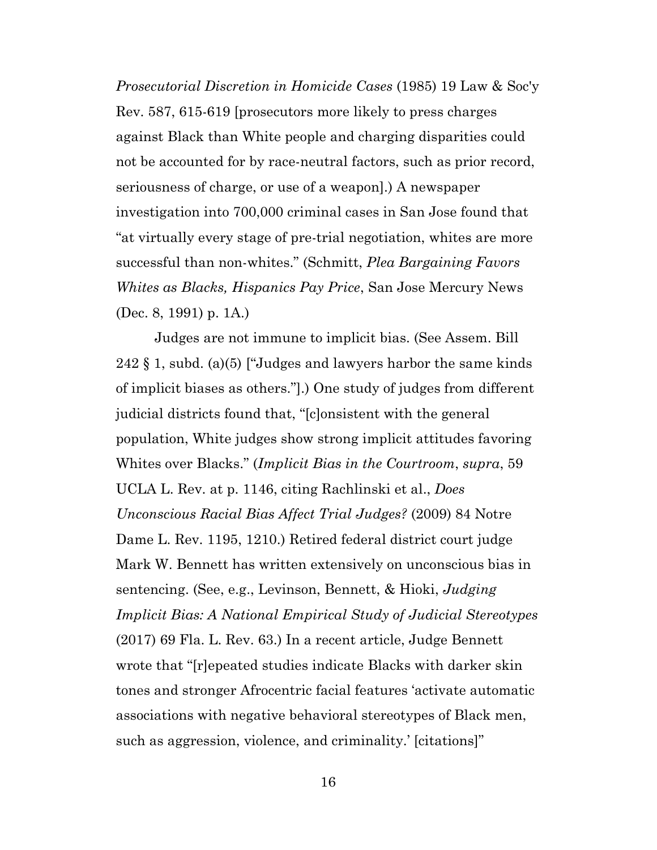*Prosecutorial Discretion in Homicide Cases* (1985) 19 Law & Soc'y Rev. 587, 615-619 [prosecutors more likely to press charges against Black than White people and charging disparities could not be accounted for by race-neutral factors, such as prior record, seriousness of charge, or use of a weapon].) A newspaper investigation into 700,000 criminal cases in San Jose found that "at virtually every stage of pre-trial negotiation, whites are more successful than non-whites." (Schmitt, *Plea Bargaining Favors Whites as Blacks, Hispanics Pay Price*, San Jose Mercury News (Dec. 8, 1991) p. 1A.)

Judges are not immune to implicit bias. (See Assem. Bill 242 § 1, subd. (a)(5) ["Judges and lawyers harbor the same kinds of implicit biases as others."].) One study of judges from different judicial districts found that, "[c]onsistent with the general population, White judges show strong implicit attitudes favoring Whites over Blacks." (*Implicit Bias in the Courtroom*, *supra*, 59 UCLA L. Rev. at p. 1146, citing Rachlinski et al., *Does Unconscious Racial Bias Affect Trial Judges?* (2009) 84 Notre Dame L. Rev. 1195, 1210.) Retired federal district court judge Mark W. Bennett has written extensively on unconscious bias in sentencing. (See, e.g., Levinson, Bennett, & Hioki, *Judging Implicit Bias: A National Empirical Study of Judicial Stereotypes* (2017) 69 Fla. L. Rev. 63.) In a recent article, Judge Bennett wrote that "[r]epeated studies indicate Blacks with darker skin tones and stronger Afrocentric facial features 'activate automatic associations with negative behavioral stereotypes of Black men, such as aggression, violence, and criminality.' [citations]"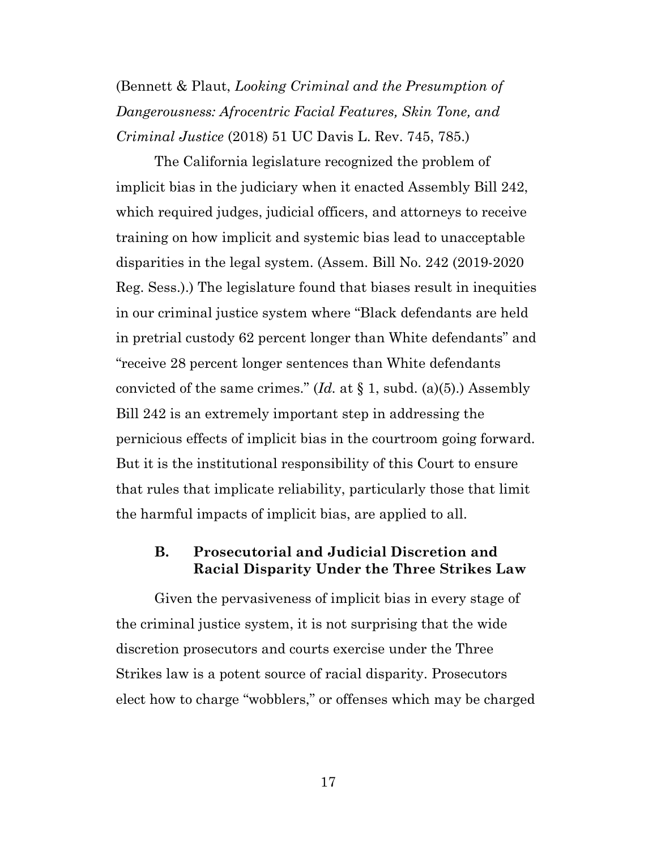(Bennett & Plaut, *Looking Criminal and the Presumption of Dangerousness: Afrocentric Facial Features, Skin Tone, and Criminal Justice* (2018) 51 UC Davis L. Rev. 745, 785.)

The California legislature recognized the problem of implicit bias in the judiciary when it enacted Assembly Bill 242, which required judges, judicial officers, and attorneys to receive training on how implicit and systemic bias lead to unacceptable disparities in the legal system. (Assem. Bill No. 242 (2019-2020 Reg. Sess.).) The legislature found that biases result in inequities in our criminal justice system where "Black defendants are held in pretrial custody 62 percent longer than White defendants" and "receive 28 percent longer sentences than White defendants convicted of the same crimes." (*Id.* at § 1, subd. (a)(5).) Assembly Bill 242 is an extremely important step in addressing the pernicious effects of implicit bias in the courtroom going forward. But it is the institutional responsibility of this Court to ensure that rules that implicate reliability, particularly those that limit the harmful impacts of implicit bias, are applied to all.

### <span id="page-16-0"></span>**B. Prosecutorial and Judicial Discretion and Racial Disparity Under the Three Strikes Law**

Given the pervasiveness of implicit bias in every stage of the criminal justice system, it is not surprising that the wide discretion prosecutors and courts exercise under the Three Strikes law is a potent source of racial disparity. Prosecutors elect how to charge "wobblers," or offenses which may be charged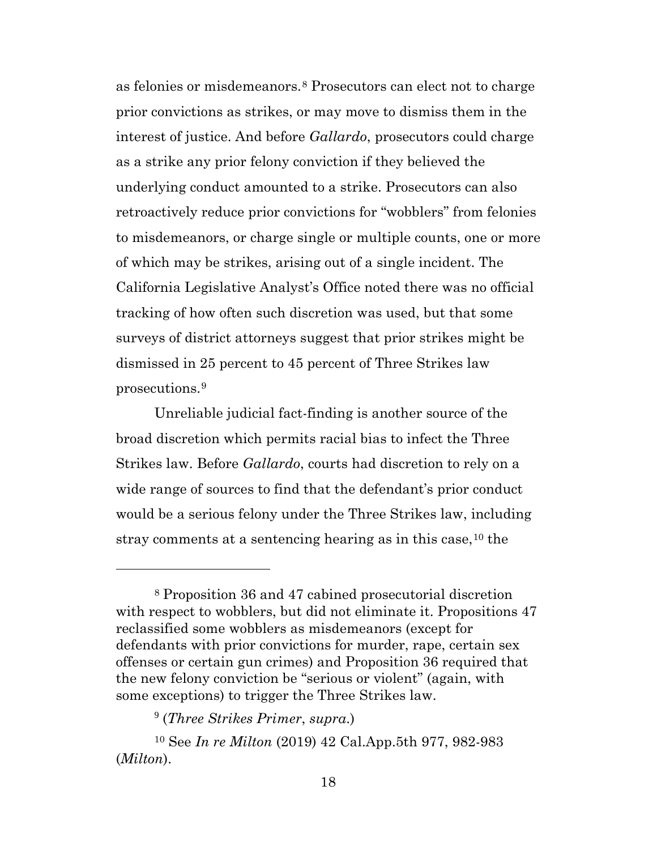as felonies or misdemeanors.[8](#page-17-0) Prosecutors can elect not to charge prior convictions as strikes, or may move to dismiss them in the interest of justice. And before *Gallardo*, prosecutors could charge as a strike any prior felony conviction if they believed the underlying conduct amounted to a strike. Prosecutors can also retroactively reduce prior convictions for "wobblers" from felonies to misdemeanors, or charge single or multiple counts, one or more of which may be strikes, arising out of a single incident. The California Legislative Analyst's Office noted there was no official tracking of how often such discretion was used, but that some surveys of district attorneys suggest that prior strikes might be dismissed in 25 percent to 45 percent of Three Strikes law prosecutions.[9](#page-17-1)

Unreliable judicial fact-finding is another source of the broad discretion which permits racial bias to infect the Three Strikes law. Before *Gallardo*, courts had discretion to rely on a wide range of sources to find that the defendant's prior conduct would be a serious felony under the Three Strikes law, including stray comments at a sentencing hearing as in this case, <sup>[10](#page-17-2)</sup> the

<span id="page-17-0"></span><sup>8</sup> Proposition 36 and 47 cabined prosecutorial discretion with respect to wobblers, but did not eliminate it. Propositions 47 reclassified some wobblers as misdemeanors (except for defendants with prior convictions for murder, rape, certain sex offenses or certain gun crimes) and Proposition 36 required that the new felony conviction be "serious or violent" (again, with some exceptions) to trigger the Three Strikes law.

<sup>9</sup> (*Three Strikes Primer*, *supra*.)

<span id="page-17-2"></span><span id="page-17-1"></span><sup>10</sup> See *In re Milton* (2019) 42 Cal.App.5th 977, 982-983 (*Milton*).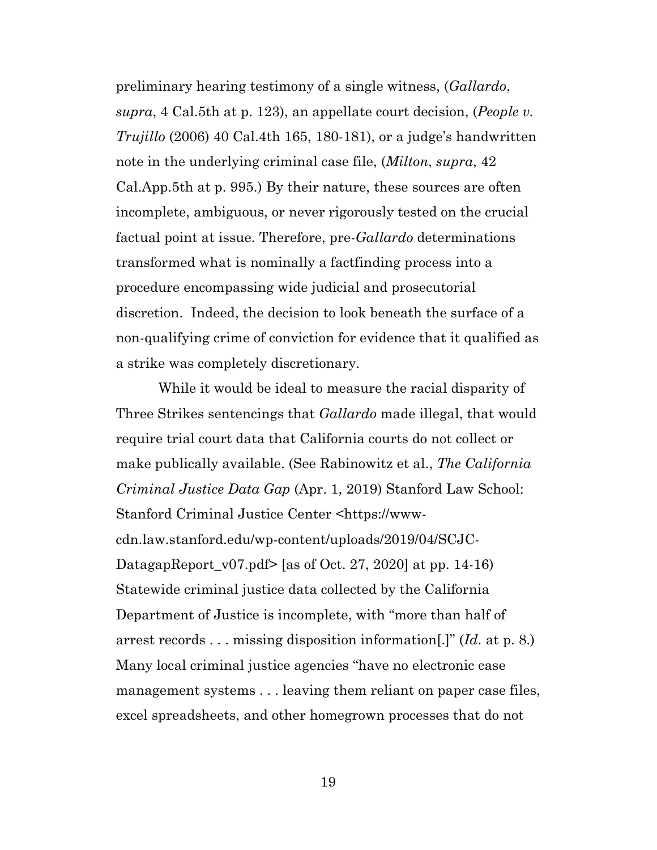preliminary hearing testimony of a single witness, (*Gallardo*, *supra*, 4 Cal.5th at p. 123), an appellate court decision, (*People v. Trujillo* (2006) 40 Cal.4th 165, 180-181), or a judge's handwritten note in the underlying criminal case file, (*Milton*, *supra*, 42 Cal.App.5th at p. 995.) By their nature, these sources are often incomplete, ambiguous, or never rigorously tested on the crucial factual point at issue. Therefore, pre-*Gallardo* determinations transformed what is nominally a factfinding process into a procedure encompassing wide judicial and prosecutorial discretion. Indeed, the decision to look beneath the surface of a non-qualifying crime of conviction for evidence that it qualified as a strike was completely discretionary.

While it would be ideal to measure the racial disparity of Three Strikes sentencings that *Gallardo* made illegal, that would require trial court data that California courts do not collect or make publically available. (See Rabinowitz et al., *The California Criminal Justice Data Gap* (Apr. 1, 2019) Stanford Law School: Stanford Criminal Justice Center <https://wwwcdn.law.stanford.edu/wp-content/uploads/2019/04/SCJC-DatagapReport\_v07.pdf> [as of Oct. 27, 2020] at pp. 14-16) Statewide criminal justice data collected by the California Department of Justice is incomplete, with "more than half of arrest records . . . missing disposition information[.]" (*Id.* at p. 8.) Many local criminal justice agencies "have no electronic case management systems . . . leaving them reliant on paper case files, excel spreadsheets, and other homegrown processes that do not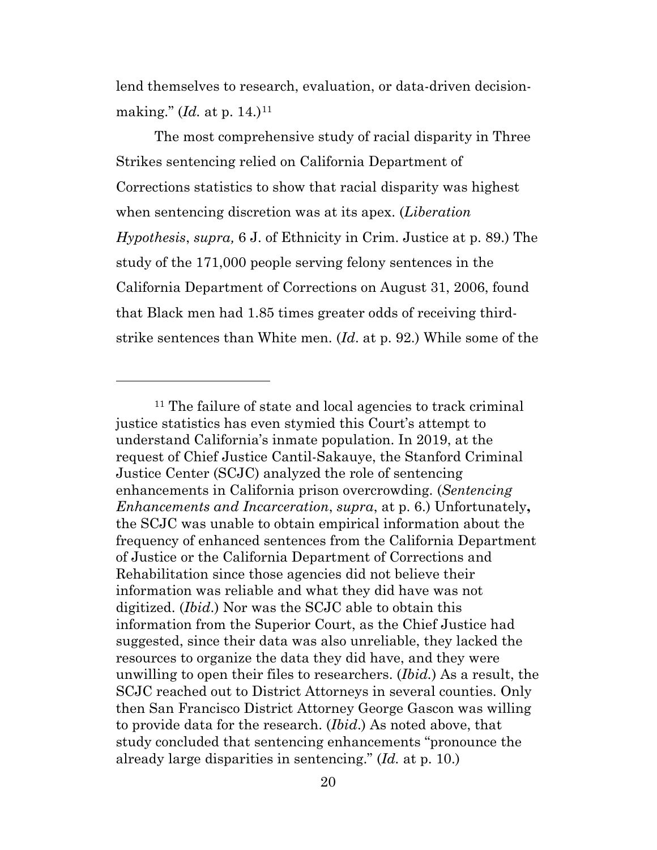lend themselves to research, evaluation, or data-driven decisionmaking." *(Id.* at p. 14.)<sup>[11](#page-19-0)</sup>

The most comprehensive study of racial disparity in Three Strikes sentencing relied on California Department of Corrections statistics to show that racial disparity was highest when sentencing discretion was at its apex. (*Liberation Hypothesis*, *supra,* 6 J. of Ethnicity in Crim. Justice at p. 89.) The study of the 171,000 people serving felony sentences in the California Department of Corrections on August 31, 2006, found that Black men had 1.85 times greater odds of receiving thirdstrike sentences than White men. (*Id*. at p. 92.) While some of the

<span id="page-19-0"></span><sup>11</sup> The failure of state and local agencies to track criminal justice statistics has even stymied this Court's attempt to understand California's inmate population. In 2019, at the request of Chief Justice Cantil-Sakauye, the Stanford Criminal Justice Center (SCJC) analyzed the role of sentencing enhancements in California prison overcrowding. (*Sentencing Enhancements and Incarceration*, *supra*, at p. 6.) Unfortunately**,**  the SCJC was unable to obtain empirical information about the frequency of enhanced sentences from the California Department of Justice or the California Department of Corrections and Rehabilitation since those agencies did not believe their information was reliable and what they did have was not digitized. (*Ibid*.) Nor was the SCJC able to obtain this information from the Superior Court, as the Chief Justice had suggested, since their data was also unreliable, they lacked the resources to organize the data they did have, and they were unwilling to open their files to researchers. (*Ibid.*) As a result, the SCJC reached out to District Attorneys in several counties. Only then San Francisco District Attorney George Gascon was willing to provide data for the research. (*Ibid*.) As noted above, that study concluded that sentencing enhancements "pronounce the already large disparities in sentencing." (*Id.* at p. 10.)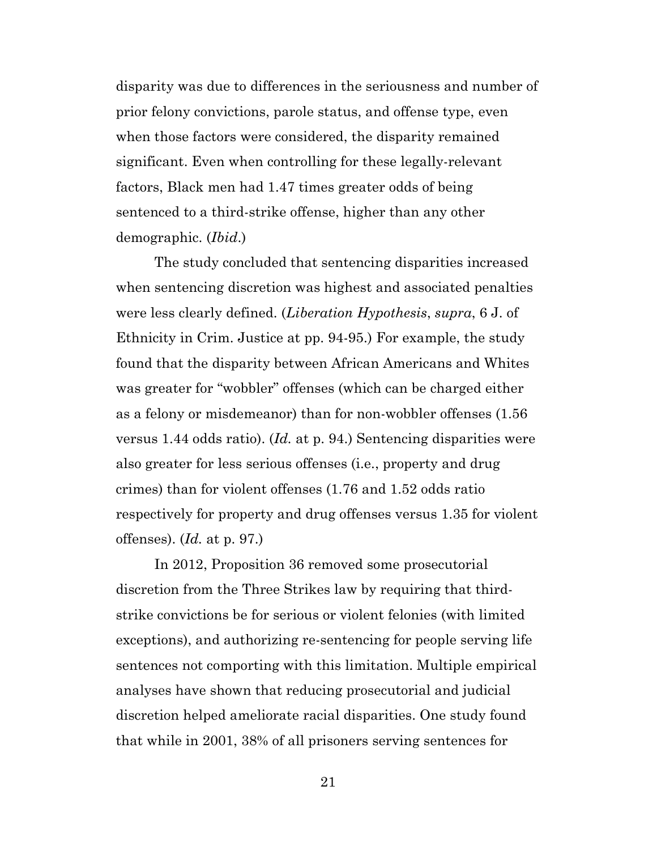disparity was due to differences in the seriousness and number of prior felony convictions, parole status, and offense type, even when those factors were considered, the disparity remained significant. Even when controlling for these legally-relevant factors, Black men had 1.47 times greater odds of being sentenced to a third-strike offense, higher than any other demographic. (*Ibid*.)

The study concluded that sentencing disparities increased when sentencing discretion was highest and associated penalties were less clearly defined. (*Liberation Hypothesis*, *supra*, 6 J. of Ethnicity in Crim. Justice at pp. 94-95.) For example, the study found that the disparity between African Americans and Whites was greater for "wobbler" offenses (which can be charged either as a felony or misdemeanor) than for non-wobbler offenses (1.56 versus 1.44 odds ratio). (*Id.* at p. 94.) Sentencing disparities were also greater for less serious offenses (i.e., property and drug crimes) than for violent offenses (1.76 and 1.52 odds ratio respectively for property and drug offenses versus 1.35 for violent offenses). (*Id.* at p. 97.)

In 2012, Proposition 36 removed some prosecutorial discretion from the Three Strikes law by requiring that thirdstrike convictions be for serious or violent felonies (with limited exceptions), and authorizing re-sentencing for people serving life sentences not comporting with this limitation. Multiple empirical analyses have shown that reducing prosecutorial and judicial discretion helped ameliorate racial disparities. One study found that while in 2001, 38% of all prisoners serving sentences for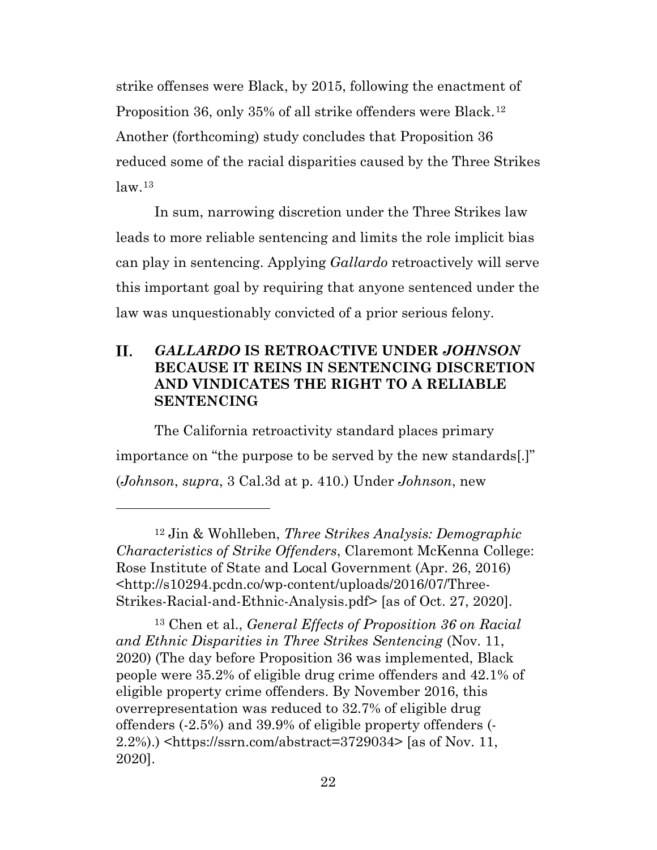strike offenses were Black, by 2015, following the enactment of Proposition 36, only 35% of all strike offenders were Black.<sup>[12](#page-21-1)</sup> Another (forthcoming) study concludes that Proposition 36 reduced some of the racial disparities caused by the Three Strikes  $law<sup>13</sup>$  $law<sup>13</sup>$  $law<sup>13</sup>$ 

In sum, narrowing discretion under the Three Strikes law leads to more reliable sentencing and limits the role implicit bias can play in sentencing. Applying *Gallardo* retroactively will serve this important goal by requiring that anyone sentenced under the law was unquestionably convicted of a prior serious felony.

#### <span id="page-21-0"></span>II. *GALLARDO* **IS RETROACTIVE UNDER** *JOHNSON* **BECAUSE IT REINS IN SENTENCING DISCRETION AND VINDICATES THE RIGHT TO A RELIABLE SENTENCING**

The California retroactivity standard places primary importance on "the purpose to be served by the new standards[.]" (*Johnson*, *supra*, 3 Cal.3d at p. 410.) Under *Johnson*, new

<span id="page-21-2"></span><sup>13</sup> Chen et al., *General Effects of Proposition 36 on Racial and Ethnic Disparities in Three Strikes Sentencing* (Nov. 11, 2020) (The day before Proposition 36 was implemented, Black people were 35.2% of eligible drug crime offenders and 42.1% of eligible property crime offenders. By November 2016, this overrepresentation was reduced to 32.7% of eligible drug offenders (-2.5%) and 39.9% of eligible property offenders (- 2.2%).) <https://ssrn.com/abstract=3729034> [as of Nov. 11, 2020].

<span id="page-21-1"></span><sup>12</sup> Jin & Wohlleben, *Three Strikes Analysis: Demographic Characteristics of Strike Offenders*, Claremont McKenna College: Rose Institute of State and Local Government (Apr. 26, 2016) <http://s10294.pcdn.co/wp-content/uploads/2016/07/Three-Strikes-Racial-and-Ethnic-Analysis.pdf> [as of Oct. 27, 2020].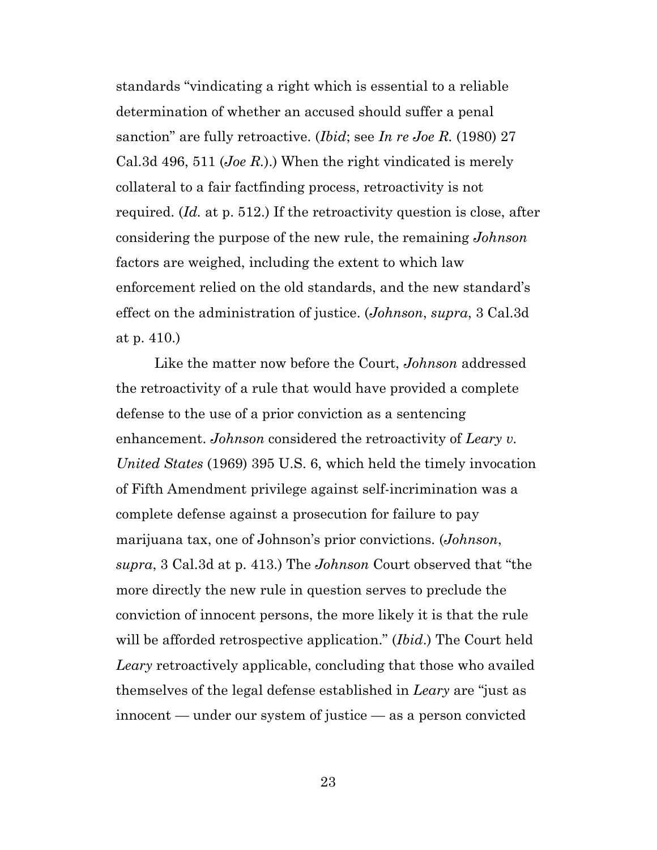standards "vindicating a right which is essential to a reliable determination of whether an accused should suffer a penal sanction" are fully retroactive. (*Ibid*; see *In re Joe R.* (1980) 27 Cal.3d 496, 511 (*Joe R.*).) When the right vindicated is merely collateral to a fair factfinding process, retroactivity is not required. (*Id.* at p. 512.) If the retroactivity question is close, after considering the purpose of the new rule, the remaining *Johnson*  factors are weighed, including the extent to which law enforcement relied on the old standards, and the new standard's effect on the administration of justice. (*Johnson*, *supra*, 3 Cal.3d at p. 410.)

Like the matter now before the Court, *Johnson* addressed the retroactivity of a rule that would have provided a complete defense to the use of a prior conviction as a sentencing enhancement. *Johnson* considered the retroactivity of *Leary v. United States* (1969) 395 U.S. 6, which held the timely invocation of Fifth Amendment privilege against self-incrimination was a complete defense against a prosecution for failure to pay marijuana tax, one of Johnson's prior convictions. (*Johnson*, *supra*, 3 Cal.3d at p. 413.) The *Johnson* Court observed that "the more directly the new rule in question serves to preclude the conviction of innocent persons, the more likely it is that the rule will be afforded retrospective application." (*Ibid*.) The Court held *Leary* retroactively applicable, concluding that those who availed themselves of the legal defense established in *Leary* are "just as innocent — under our system of justice — as a person convicted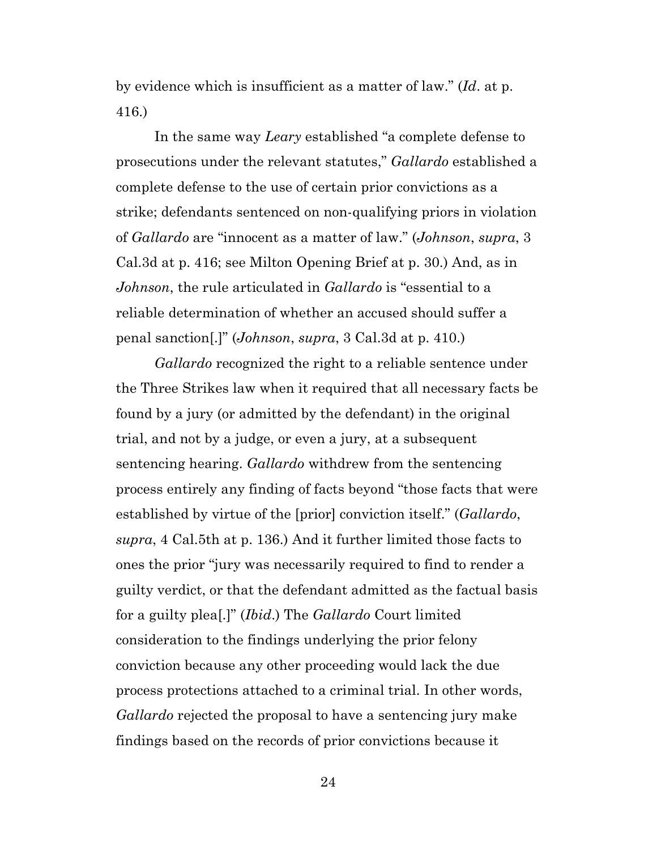by evidence which is insufficient as a matter of law." (*Id*. at p. 416.)

In the same way *Leary* established "a complete defense to prosecutions under the relevant statutes," *Gallardo* established a complete defense to the use of certain prior convictions as a strike; defendants sentenced on non-qualifying priors in violation of *Gallardo* are "innocent as a matter of law." (*Johnson*, *supra*, 3 Cal.3d at p. 416; see Milton Opening Brief at p. 30.) And, as in *Johnson*, the rule articulated in *Gallardo* is "essential to a reliable determination of whether an accused should suffer a penal sanction[.]" (*Johnson*, *supra*, 3 Cal.3d at p. 410.)

*Gallardo* recognized the right to a reliable sentence under the Three Strikes law when it required that all necessary facts be found by a jury (or admitted by the defendant) in the original trial, and not by a judge, or even a jury, at a subsequent sentencing hearing. *Gallardo* withdrew from the sentencing process entirely any finding of facts beyond "those facts that were established by virtue of the [prior] conviction itself." (*Gallardo*, *supra*, 4 Cal.5th at p. 136.) And it further limited those facts to ones the prior "jury was necessarily required to find to render a guilty verdict, or that the defendant admitted as the factual basis for a guilty plea[.]" (*Ibid*.) The *Gallardo* Court limited consideration to the findings underlying the prior felony conviction because any other proceeding would lack the due process protections attached to a criminal trial. In other words, *Gallardo* rejected the proposal to have a sentencing jury make findings based on the records of prior convictions because it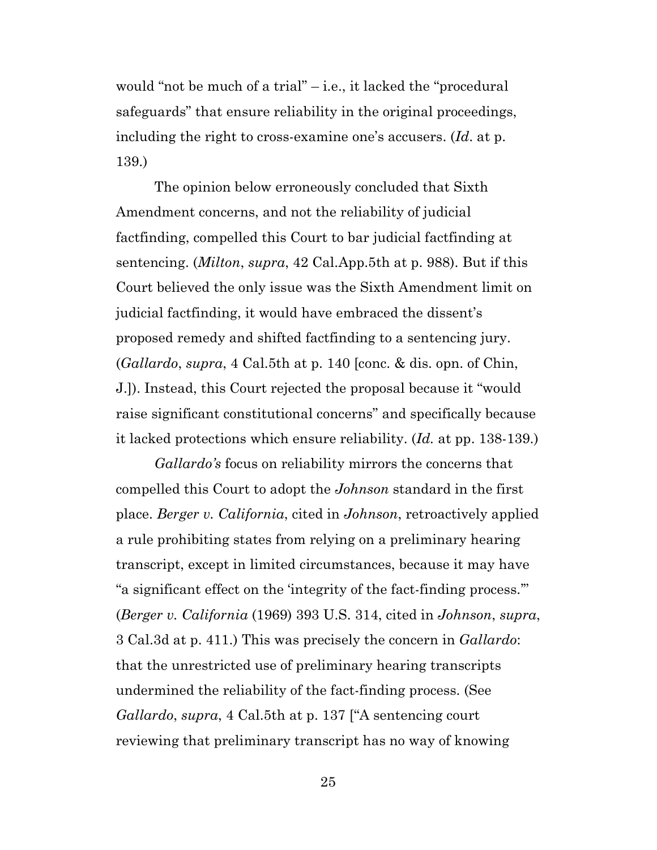would "not be much of a trial" – i.e., it lacked the "procedural safeguards" that ensure reliability in the original proceedings, including the right to cross-examine one's accusers. (*Id*. at p. 139.)

The opinion below erroneously concluded that Sixth Amendment concerns, and not the reliability of judicial factfinding, compelled this Court to bar judicial factfinding at sentencing. (*Milton*, *supra*, 42 Cal.App.5th at p. 988). But if this Court believed the only issue was the Sixth Amendment limit on judicial factfinding, it would have embraced the dissent's proposed remedy and shifted factfinding to a sentencing jury. (*Gallardo*, *supra*, 4 Cal.5th at p. 140 [conc. & dis. opn. of Chin, J.]). Instead, this Court rejected the proposal because it "would raise significant constitutional concerns" and specifically because it lacked protections which ensure reliability. (*Id.* at pp. 138-139.)

*Gallardo's* focus on reliability mirrors the concerns that compelled this Court to adopt the *Johnson* standard in the first place. *Berger v. California*, cited in *Johnson*, retroactively applied a rule prohibiting states from relying on a preliminary hearing transcript, except in limited circumstances, because it may have "a significant effect on the 'integrity of the fact-finding process.'" (*Berger v. California* (1969) 393 U.S. 314, cited in *Johnson*, *supra*, 3 Cal.3d at p. 411.) This was precisely the concern in *Gallardo*: that the unrestricted use of preliminary hearing transcripts undermined the reliability of the fact-finding process. (See *Gallardo*, *supra*, 4 Cal.5th at p. 137 ["A sentencing court reviewing that preliminary transcript has no way of knowing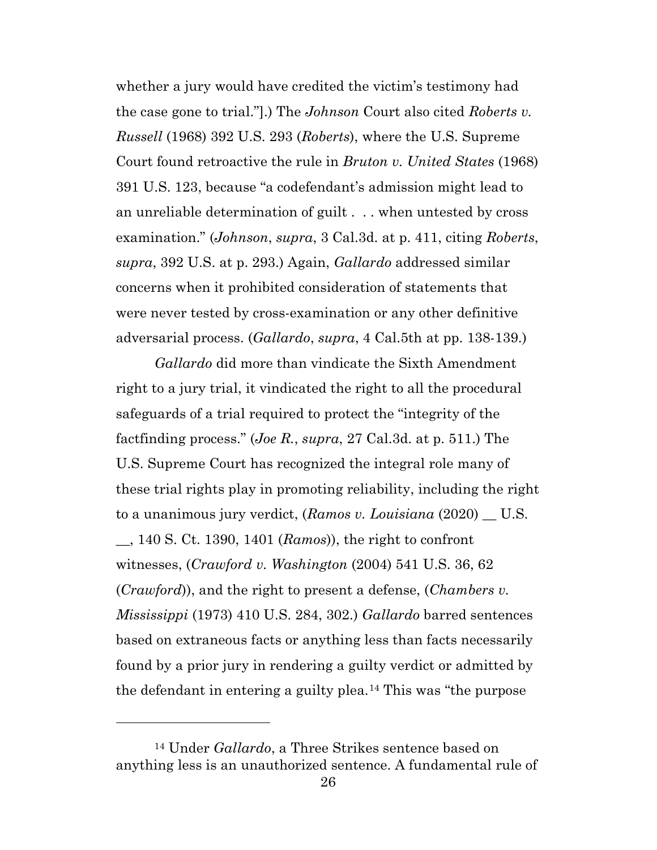whether a jury would have credited the victim's testimony had the case gone to trial."].) The *Johnson* Court also cited *Roberts v. Russell* (1968) 392 U.S. 293 (*Roberts*), where the U.S. Supreme Court found retroactive the rule in *Bruton v. United States* (1968) 391 U.S. 123, because "a codefendant's admission might lead to an unreliable determination of guilt . . . when untested by cross examination." (*Johnson*, *supra*, 3 Cal.3d. at p. 411, citing *Roberts*, *supra*, 392 U.S. at p. 293.) Again, *Gallardo* addressed similar concerns when it prohibited consideration of statements that were never tested by cross-examination or any other definitive adversarial process. (*Gallardo*, *supra*, 4 Cal.5th at pp. 138-139.)

*Gallardo* did more than vindicate the Sixth Amendment right to a jury trial, it vindicated the right to all the procedural safeguards of a trial required to protect the "integrity of the factfinding process." (*Joe R.*, *supra*, 27 Cal.3d. at p. 511.) The U.S. Supreme Court has recognized the integral role many of these trial rights play in promoting reliability, including the right to a unanimous jury verdict, (*Ramos v. Louisiana* (2020) \_\_ U.S. \_\_, 140 S. Ct. 1390, 1401 (*Ramos*)), the right to confront witnesses, (*Crawford v. Washington* (2004) 541 U.S. 36, 62 (*Crawford*)), and the right to present a defense, (*Chambers v. Mississippi* (1973) 410 U.S. 284, 302.) *Gallardo* barred sentences based on extraneous facts or anything less than facts necessarily found by a prior jury in rendering a guilty verdict or admitted by the defendant in entering a guilty plea.[14](#page-25-0) This was "the purpose

<span id="page-25-0"></span><sup>14</sup> Under *Gallardo*, a Three Strikes sentence based on anything less is an unauthorized sentence. A fundamental rule of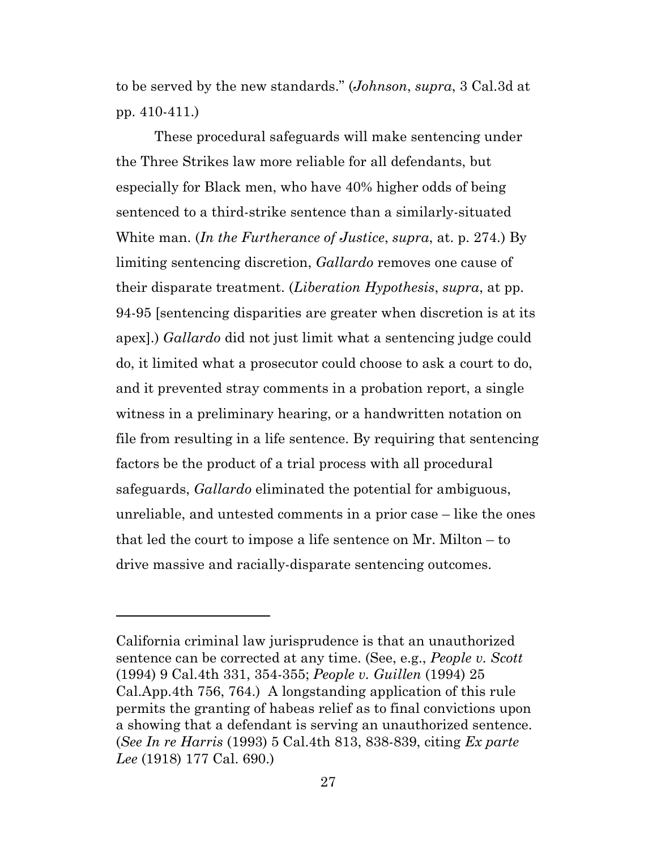to be served by the new standards." (*Johnson*, *supra*, 3 Cal.3d at pp. 410-411.)

These procedural safeguards will make sentencing under the Three Strikes law more reliable for all defendants, but especially for Black men, who have 40% higher odds of being sentenced to a third-strike sentence than a similarly-situated White man. (*In the Furtherance of Justice*, *supra*, at. p. 274.) By limiting sentencing discretion, *Gallardo* removes one cause of their disparate treatment. (*Liberation Hypothesis*, *supra*, at pp. 94-95 [sentencing disparities are greater when discretion is at its apex].) *Gallardo* did not just limit what a sentencing judge could do, it limited what a prosecutor could choose to ask a court to do, and it prevented stray comments in a probation report, a single witness in a preliminary hearing, or a handwritten notation on file from resulting in a life sentence. By requiring that sentencing factors be the product of a trial process with all procedural safeguards, *Gallardo* eliminated the potential for ambiguous, unreliable, and untested comments in a prior case – like the ones that led the court to impose a life sentence on Mr. Milton – to drive massive and racially-disparate sentencing outcomes.

California criminal law jurisprudence is that an unauthorized sentence can be corrected at any time. (See, e.g., *People v. Scott* (1994) 9 Cal.4th 331, 354-355; *People v. Guillen* (1994) 25 Cal.App.4th 756, 764.) A longstanding application of this rule permits the granting of habeas relief as to final convictions upon a showing that a defendant is serving an unauthorized sentence. (*See In re Harris* (1993) 5 Cal.4th 813, 838-839, citing *Ex parte Lee* (1918) 177 Cal. 690.)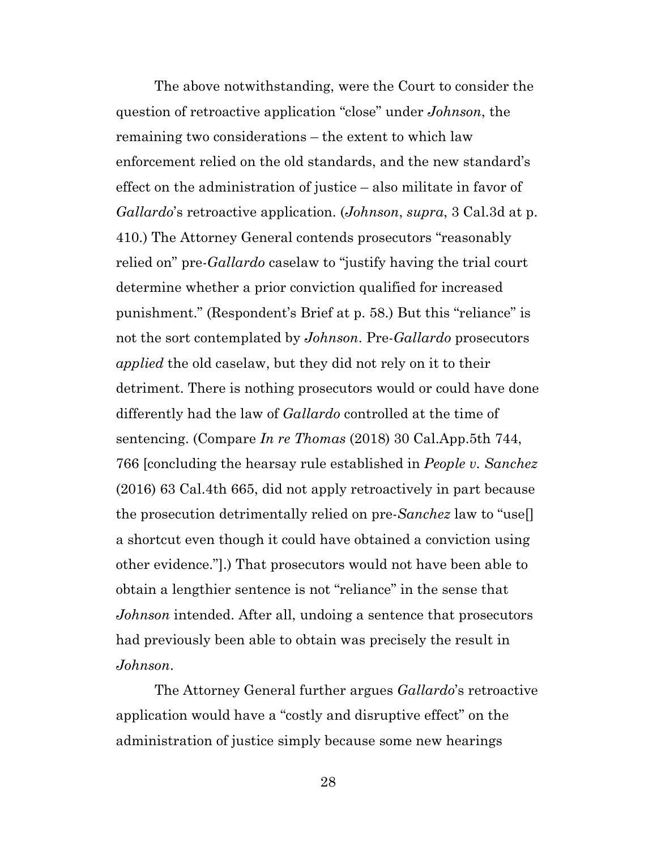The above notwithstanding, were the Court to consider the question of retroactive application "close" under *Johnson*, the remaining two considerations – the extent to which law enforcement relied on the old standards, and the new standard's effect on the administration of justice – also militate in favor of *Gallardo*'s retroactive application. (*Johnson*, *supra*, 3 Cal.3d at p. 410.) The Attorney General contends prosecutors "reasonably relied on" pre-*Gallardo* caselaw to "justify having the trial court determine whether a prior conviction qualified for increased punishment." (Respondent's Brief at p. 58.) But this "reliance" is not the sort contemplated by *Johnson*. Pre-*Gallardo* prosecutors *applied* the old caselaw, but they did not rely on it to their detriment. There is nothing prosecutors would or could have done differently had the law of *Gallardo* controlled at the time of sentencing. (Compare *In re Thomas* (2018) 30 Cal.App.5th 744, 766 [concluding the hearsay rule established in *People v. Sanchez* (2016) 63 Cal.4th 665, did not apply retroactively in part because the prosecution detrimentally relied on pre-*Sanchez* law to "use[] a shortcut even though it could have obtained a conviction using other evidence."].) That prosecutors would not have been able to obtain a lengthier sentence is not "reliance" in the sense that *Johnson* intended. After all, undoing a sentence that prosecutors had previously been able to obtain was precisely the result in *Johnson*.

The Attorney General further argues *Gallardo*'s retroactive application would have a "costly and disruptive effect" on the administration of justice simply because some new hearings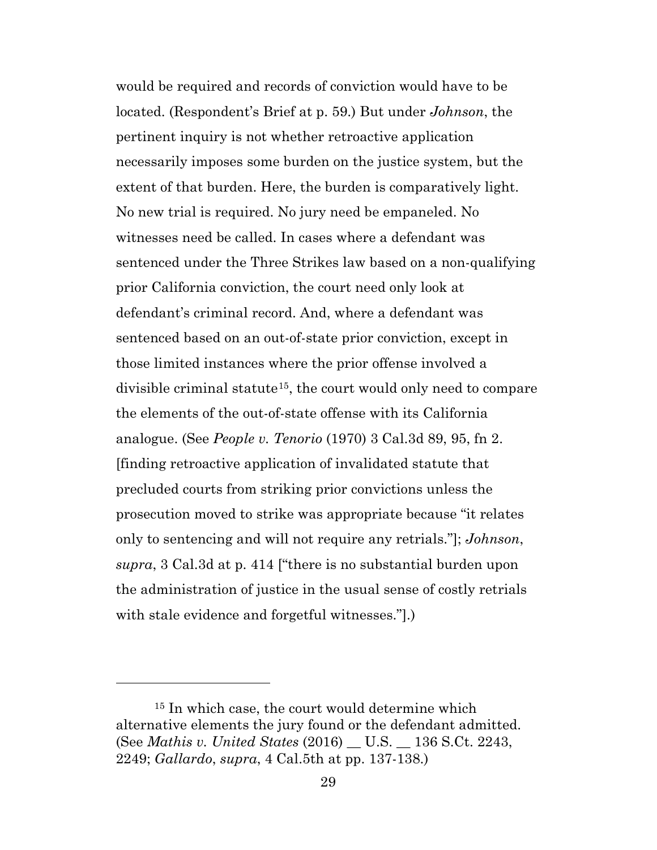would be required and records of conviction would have to be located. (Respondent's Brief at p. 59.) But under *Johnson*, the pertinent inquiry is not whether retroactive application necessarily imposes some burden on the justice system, but the extent of that burden. Here, the burden is comparatively light. No new trial is required. No jury need be empaneled. No witnesses need be called. In cases where a defendant was sentenced under the Three Strikes law based on a non-qualifying prior California conviction, the court need only look at defendant's criminal record. And, where a defendant was sentenced based on an out-of-state prior conviction, except in those limited instances where the prior offense involved a divisible criminal statute[15](#page-28-0), the court would only need to compare the elements of the out-of-state offense with its California analogue. (See *People v. Tenorio* (1970) 3 Cal.3d 89, 95, fn 2. [finding retroactive application of invalidated statute that precluded courts from striking prior convictions unless the prosecution moved to strike was appropriate because "it relates only to sentencing and will not require any retrials."]; *Johnson*, *supra*, 3 Cal.3d at p. 414 ["there is no substantial burden upon the administration of justice in the usual sense of costly retrials with stale evidence and forgetful witnesses."].)

<span id="page-28-0"></span><sup>&</sup>lt;sup>15</sup> In which case, the court would determine which alternative elements the jury found or the defendant admitted. (See *Mathis v. United States* (2016) \_\_ U.S. \_\_ 136 S.Ct. 2243, 2249; *Gallardo*, *supra*, 4 Cal.5th at pp. 137-138.)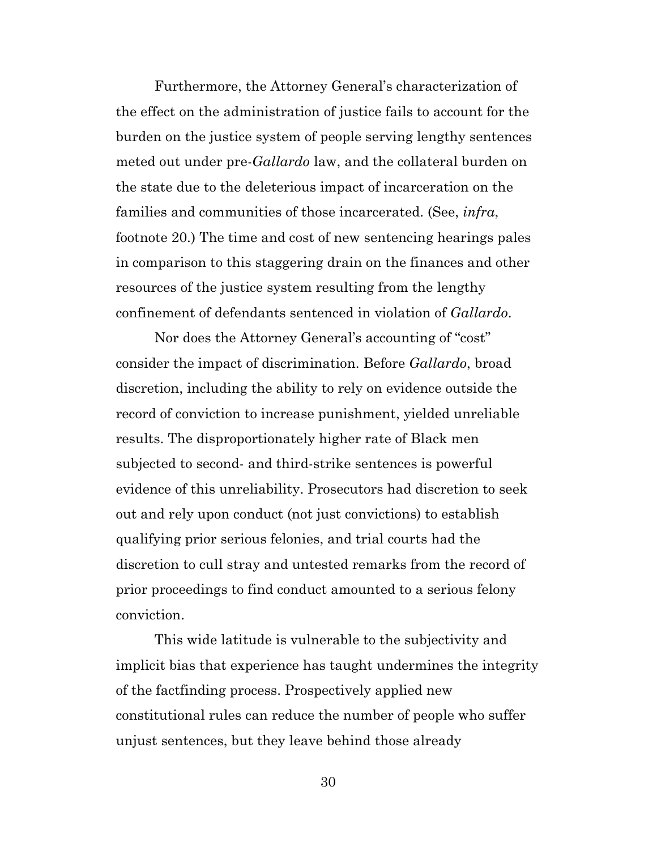Furthermore, the Attorney General's characterization of the effect on the administration of justice fails to account for the burden on the justice system of people serving lengthy sentences meted out under pre-*Gallardo* law, and the collateral burden on the state due to the deleterious impact of incarceration on the families and communities of those incarcerated. (See, *infra*, footnote 20.) The time and cost of new sentencing hearings pales in comparison to this staggering drain on the finances and other resources of the justice system resulting from the lengthy confinement of defendants sentenced in violation of *Gallardo*.

Nor does the Attorney General's accounting of "cost" consider the impact of discrimination. Before *Gallardo*, broad discretion, including the ability to rely on evidence outside the record of conviction to increase punishment, yielded unreliable results. The disproportionately higher rate of Black men subjected to second- and third-strike sentences is powerful evidence of this unreliability. Prosecutors had discretion to seek out and rely upon conduct (not just convictions) to establish qualifying prior serious felonies, and trial courts had the discretion to cull stray and untested remarks from the record of prior proceedings to find conduct amounted to a serious felony conviction.

This wide latitude is vulnerable to the subjectivity and implicit bias that experience has taught undermines the integrity of the factfinding process. Prospectively applied new constitutional rules can reduce the number of people who suffer unjust sentences, but they leave behind those already

30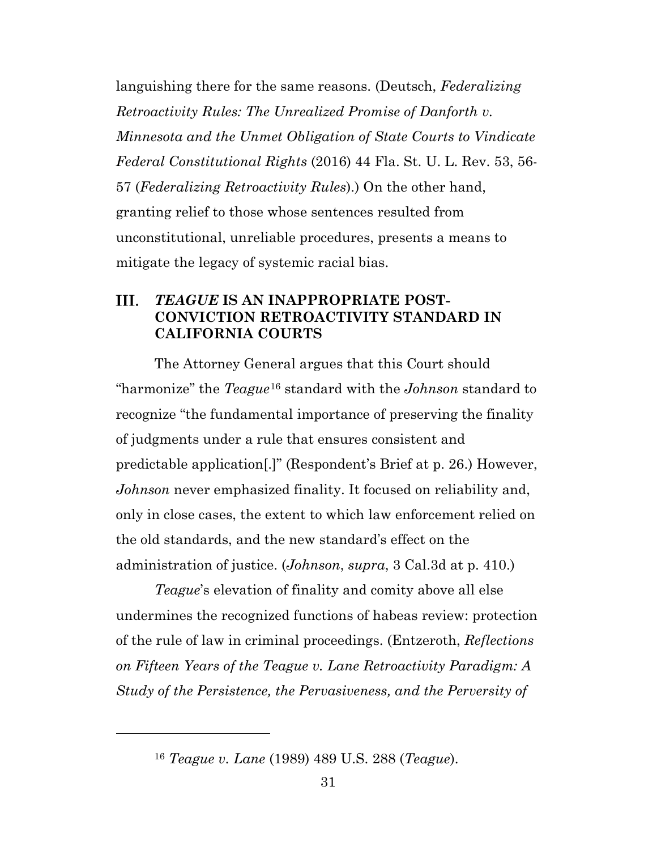languishing there for the same reasons. (Deutsch, *Federalizing Retroactivity Rules: The Unrealized Promise of Danforth v. Minnesota and the Unmet Obligation of State Courts to Vindicate Federal Constitutional Rights* (2016) 44 Fla. St. U. L. Rev. 53, 56- 57 (*Federalizing Retroactivity Rules*).) On the other hand, granting relief to those whose sentences resulted from unconstitutional, unreliable procedures, presents a means to mitigate the legacy of systemic racial bias.

#### <span id="page-30-0"></span>III. *TEAGUE* **IS AN INAPPROPRIATE POST-CONVICTION RETROACTIVITY STANDARD IN CALIFORNIA COURTS**

The Attorney General argues that this Court should "harmonize" the *Teague*[16](#page-30-1) standard with the *Johnson* standard to recognize "the fundamental importance of preserving the finality of judgments under a rule that ensures consistent and predictable application[.]" (Respondent's Brief at p. 26.) However, *Johnson* never emphasized finality. It focused on reliability and, only in close cases, the extent to which law enforcement relied on the old standards, and the new standard's effect on the administration of justice. (*Johnson*, *supra*, 3 Cal.3d at p. 410.)

*Teague*'s elevation of finality and comity above all else undermines the recognized functions of habeas review: protection of the rule of law in criminal proceedings. (Entzeroth, *Reflections on Fifteen Years of the Teague v. Lane Retroactivity Paradigm: A Study of the Persistence, the Pervasiveness, and the Perversity of* 

<span id="page-30-1"></span><sup>16</sup> *Teague v. Lane* (1989) 489 U.S. 288 (*Teague*).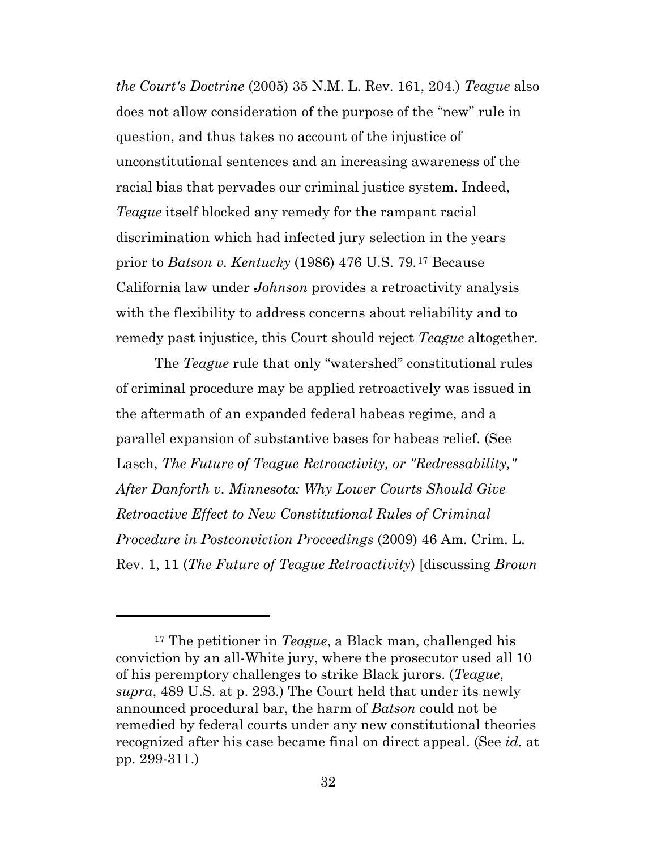*the Court's Doctrine* (2005) 35 N.M. L. Rev. 161, 204.) *Teague* also does not allow consideration of the purpose of the "new" rule in question, and thus takes no account of the injustice of unconstitutional sentences and an increasing awareness of the racial bias that pervades our criminal justice system. Indeed, *Teague* itself blocked any remedy for the rampant racial discrimination which had infected jury selection in the years prior to *Batson v. Kentucky* (1986) 476 U.S. 79*.*[17](#page-31-0) Because California law under *Johnson* provides a retroactivity analysis with the flexibility to address concerns about reliability and to remedy past injustice, this Court should reject *Teague* altogether.

The *Teague* rule that only "watershed" constitutional rules of criminal procedure may be applied retroactively was issued in the aftermath of an expanded federal habeas regime, and a parallel expansion of substantive bases for habeas relief. (See Lasch, *The Future of Teague Retroactivity, or "Redressability," After Danforth v. Minnesota: Why Lower Courts Should Give Retroactive Effect to New Constitutional Rules of Criminal Procedure in Postconviction Proceedings* (2009) 46 Am. Crim. L. Rev. 1, 11 (*The Future of Teague Retroactivity*) [discussing *Brown* 

<span id="page-31-0"></span><sup>17</sup> The petitioner in *Teague*, a Black man, challenged his conviction by an all-White jury, where the prosecutor used all 10 of his peremptory challenges to strike Black jurors. (*Teague*, *supra*, 489 U.S. at p. 293.) The Court held that under its newly announced procedural bar, the harm of *Batson* could not be remedied by federal courts under any new constitutional theories recognized after his case became final on direct appeal. (See *id.* at pp. 299-311.)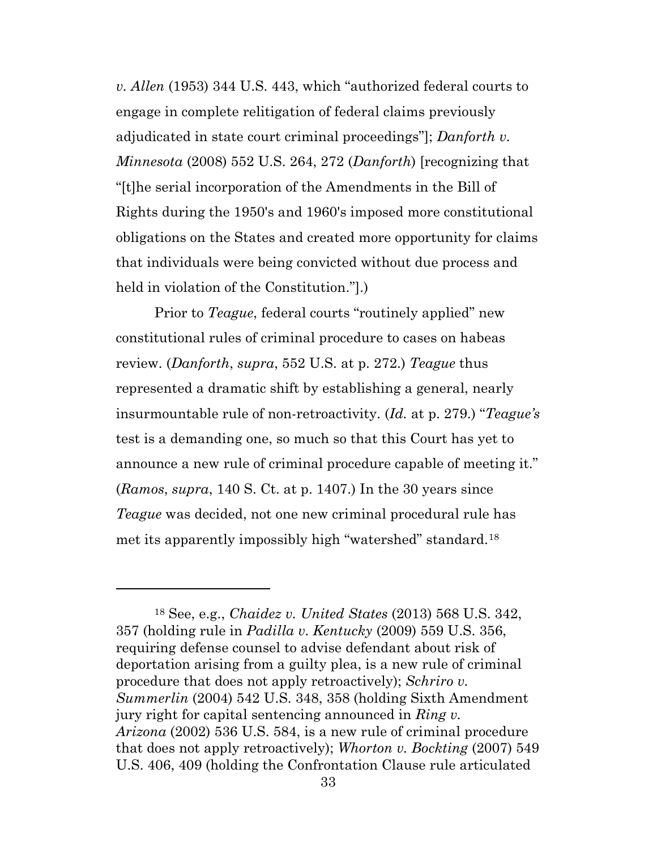*v. Allen* (1953) 344 U.S. 443, which "authorized federal courts to engage in complete relitigation of federal claims previously adjudicated in state court criminal proceedings"]; *Danforth v. Minnesota* (2008) 552 U.S. 264, 272 (*Danforth*) [recognizing that "[t]he serial incorporation of the Amendments in the Bill of Rights during the 1950's and 1960's imposed more constitutional obligations on the States and created more opportunity for claims that individuals were being convicted without due process and held in violation of the Constitution."].)

Prior to *Teague*, federal courts "routinely applied" new constitutional rules of criminal procedure to cases on habeas review. (*Danforth*, *supra*, 552 U.S. at p. 272.) *Teague* thus represented a dramatic shift by establishing a general, nearly insurmountable rule of non-retroactivity. (*Id.* at p. 279.) "*Teague's* test is a demanding one, so much so that this Court has yet to announce a new rule of criminal procedure capable of meeting it." (*Ramos*, *supra*, 140 S. Ct. at p. 1407.) In the 30 years since *Teague* was decided, not one new criminal procedural rule has met its apparently impossibly high "watershed" standard.[18](#page-32-0)

<span id="page-32-0"></span><sup>18</sup> See, e.g., *Chaidez v. United States* (2013) 568 U.S. 342, 357 (holding rule in *Padilla v. Kentucky* (2009) 559 U.S. 356, requiring defense counsel to advise defendant about risk of deportation arising from a guilty plea, is a new rule of criminal procedure that does not apply retroactively); *Schriro v. Summerlin* (2004) 542 U.S. 348, 358 (holding Sixth Amendment jury right for capital sentencing announced in *Ring v. Arizona* (2002) 536 U.S. 584, is a new rule of criminal procedure that does not apply retroactively); *Whorton v. Bockting* (2007) 549 U.S. 406, 409 (holding the Confrontation Clause rule articulated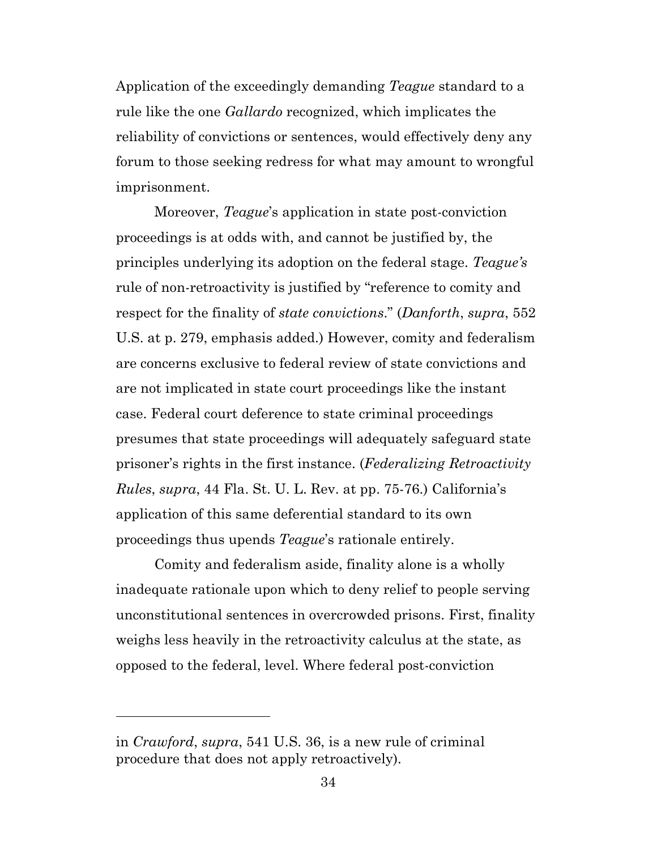Application of the exceedingly demanding *Teague* standard to a rule like the one *Gallardo* recognized, which implicates the reliability of convictions or sentences, would effectively deny any forum to those seeking redress for what may amount to wrongful imprisonment.

Moreover, *Teague*'s application in state post-conviction proceedings is at odds with, and cannot be justified by, the principles underlying its adoption on the federal stage. *Teague's* rule of non-retroactivity is justified by "reference to comity and respect for the finality of *state convictions*." (*Danforth*, *supra*, 552 U.S. at p. 279, emphasis added.) However, comity and federalism are concerns exclusive to federal review of state convictions and are not implicated in state court proceedings like the instant case. Federal court deference to state criminal proceedings presumes that state proceedings will adequately safeguard state prisoner's rights in the first instance. (*Federalizing Retroactivity Rules*, *supra*, 44 Fla. St. U. L. Rev. at pp. 75-76.) California's application of this same deferential standard to its own proceedings thus upends *Teague*'s rationale entirely.

Comity and federalism aside, finality alone is a wholly inadequate rationale upon which to deny relief to people serving unconstitutional sentences in overcrowded prisons. First, finality weighs less heavily in the retroactivity calculus at the state, as opposed to the federal, level. Where federal post-conviction

in *Crawford*, *supra*, 541 U.S. 36, is a new rule of criminal procedure that does not apply retroactively).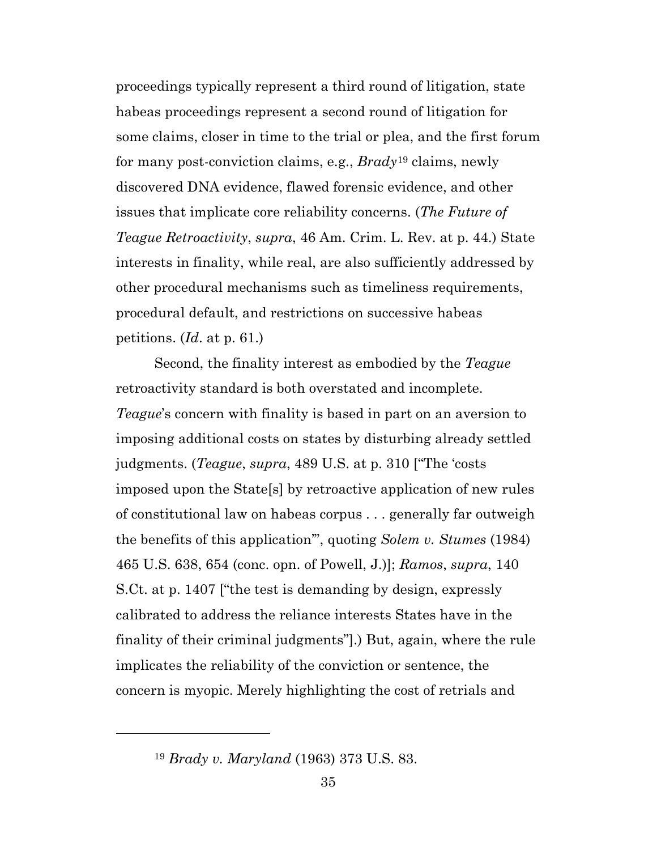proceedings typically represent a third round of litigation, state habeas proceedings represent a second round of litigation for some claims, closer in time to the trial or plea, and the first forum for many post-conviction claims, e.g., *Brady*[19](#page-34-0) claims, newly discovered DNA evidence, flawed forensic evidence, and other issues that implicate core reliability concerns. (*The Future of Teague Retroactivity*, *supra*, 46 Am. Crim. L. Rev. at p. 44.) State interests in finality, while real, are also sufficiently addressed by other procedural mechanisms such as timeliness requirements, procedural default, and restrictions on successive habeas petitions. (*Id*. at p. 61.)

Second, the finality interest as embodied by the *Teague* retroactivity standard is both overstated and incomplete. *Teague*'s concern with finality is based in part on an aversion to imposing additional costs on states by disturbing already settled judgments. (*Teague*, *supra*, 489 U.S. at p. 310 ["The 'costs imposed upon the State[s] by retroactive application of new rules of constitutional law on habeas corpus . . . generally far outweigh the benefits of this application'", quoting *Solem v. Stumes* (1984) 465 U.S. 638, 654 (conc. opn. of Powell, J.)]; *Ramos*, *supra*, 140 S.Ct. at p. 1407 ["the test is demanding by design, expressly calibrated to address the reliance interests States have in the finality of their criminal judgments"].) But, again, where the rule implicates the reliability of the conviction or sentence, the concern is myopic. Merely highlighting the cost of retrials and

<span id="page-34-0"></span><sup>19</sup> *Brady v. Maryland* (1963) 373 U.S. 83.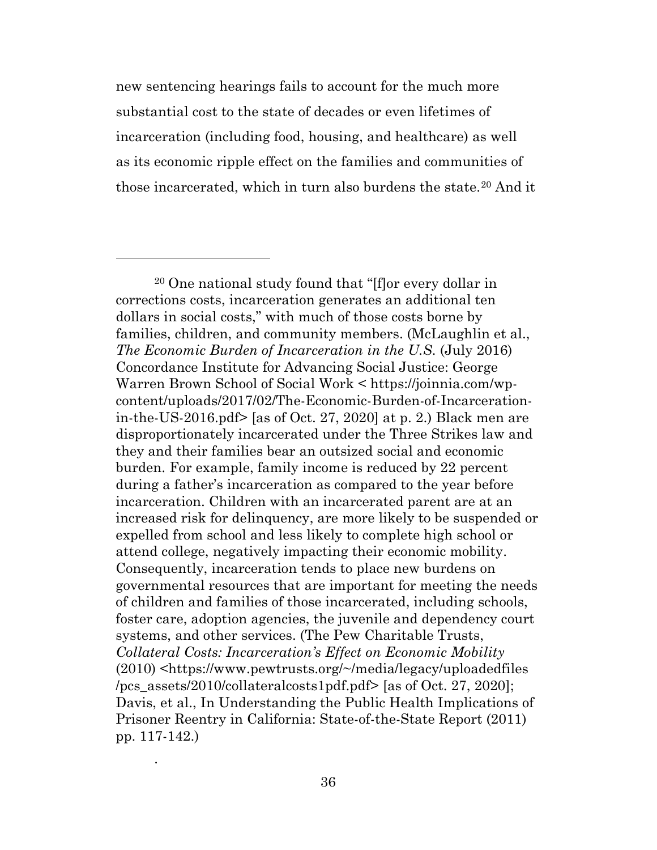new sentencing hearings fails to account for the much more substantial cost to the state of decades or even lifetimes of incarceration (including food, housing, and healthcare) as well as its economic ripple effect on the families and communities of those incarcerated, which in turn also burdens the state.[20](#page-35-0) And it

.

<span id="page-35-0"></span><sup>20</sup> One national study found that "[f]or every dollar in corrections costs, incarceration generates an additional ten dollars in social costs," with much of those costs borne by families, children, and community members. (McLaughlin et al., *The Economic Burden of Incarceration in the U.S.* (July 2016) Concordance Institute for Advancing Social Justice: George Warren Brown School of Social Work < https://joinnia.com/wpcontent/uploads/2017/02/The-Economic-Burden-of-Incarcerationin-the-US-2016.pdf> [as of Oct. 27, 2020] at p. 2.) Black men are disproportionately incarcerated under the Three Strikes law and they and their families bear an outsized social and economic burden. For example, family income is reduced by 22 percent during a father's incarceration as compared to the year before incarceration. Children with an incarcerated parent are at an increased risk for delinquency, are more likely to be suspended or expelled from school and less likely to complete high school or attend college, negatively impacting their economic mobility. Consequently, incarceration tends to place new burdens on governmental resources that are important for meeting the needs of children and families of those incarcerated, including schools, foster care, adoption agencies, the juvenile and dependency court systems, and other services. (The Pew Charitable Trusts, *Collateral Costs: Incarceration's Effect on Economic Mobility* (2010) <https://www.pewtrusts.org/~/media/legacy/uploadedfiles /pcs\_assets/2010/collateralcosts1pdf.pdf> [as of Oct. 27, 2020]; Davis, et al., In Understanding the Public Health Implications of Prisoner Reentry in California: State-of-the-State Report (2011) pp. 117-142.)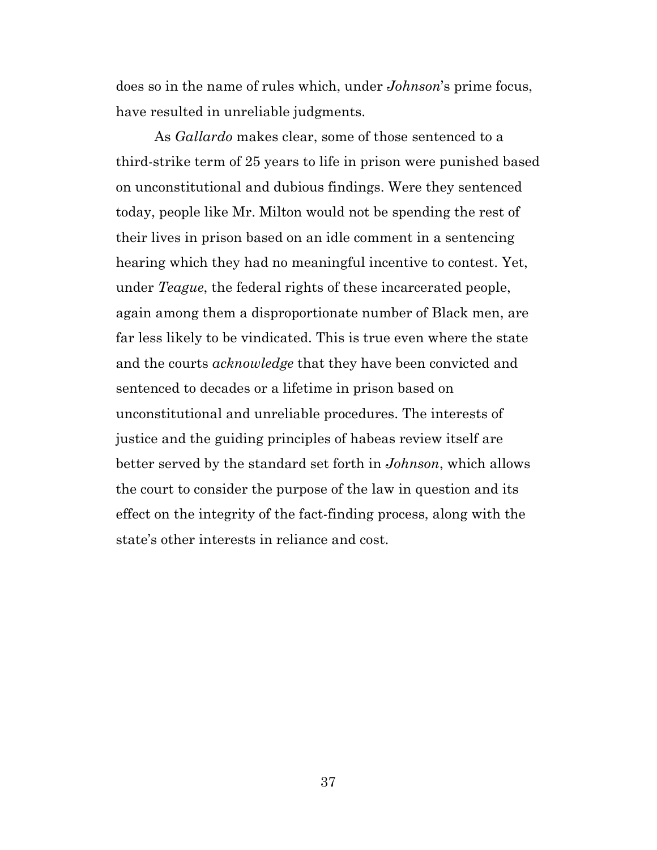does so in the name of rules which, under *Johnson*'s prime focus, have resulted in unreliable judgments.

As *Gallardo* makes clear, some of those sentenced to a third-strike term of 25 years to life in prison were punished based on unconstitutional and dubious findings. Were they sentenced today, people like Mr. Milton would not be spending the rest of their lives in prison based on an idle comment in a sentencing hearing which they had no meaningful incentive to contest. Yet, under *Teague*, the federal rights of these incarcerated people, again among them a disproportionate number of Black men, are far less likely to be vindicated. This is true even where the state and the courts *acknowledge* that they have been convicted and sentenced to decades or a lifetime in prison based on unconstitutional and unreliable procedures. The interests of justice and the guiding principles of habeas review itself are better served by the standard set forth in *Johnson*, which allows the court to consider the purpose of the law in question and its effect on the integrity of the fact-finding process, along with the state's other interests in reliance and cost.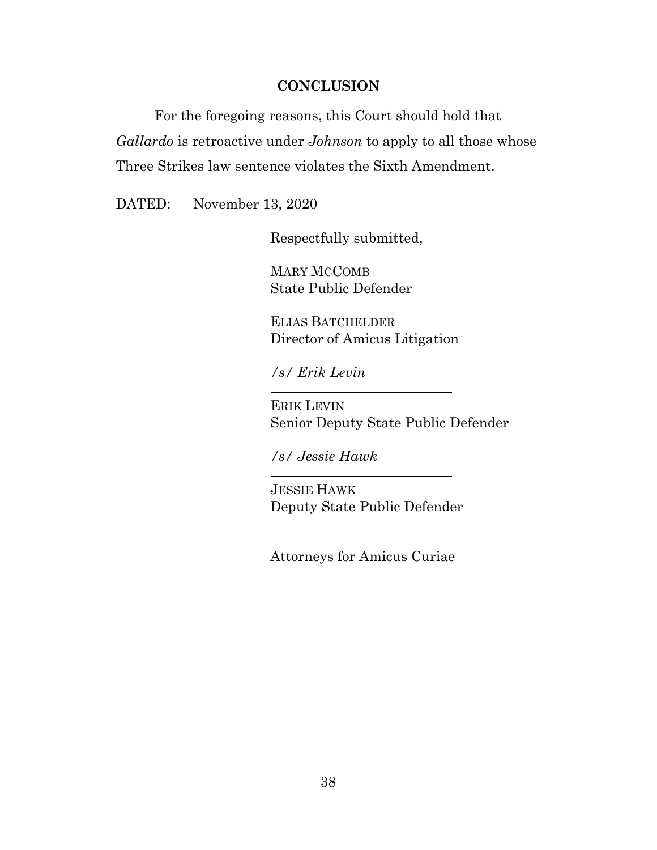### **CONCLUSION**

<span id="page-37-0"></span>For the foregoing reasons, this Court should hold that *Gallardo* is retroactive under *Johnson* to apply to all those whose Three Strikes law sentence violates the Sixth Amendment.

DATED: November 13, 2020

Respectfully submitted,

MARY MCCOMB State Public Defender

ELIAS BATCHELDER Director of Amicus Litigation

*/s/ Erik Levin*

ERIK LEVIN Senior Deputy State Public Defender

*/s/ Jessie Hawk*

JESSIE HAWK Deputy State Public Defender

Attorneys for Amicus Curiae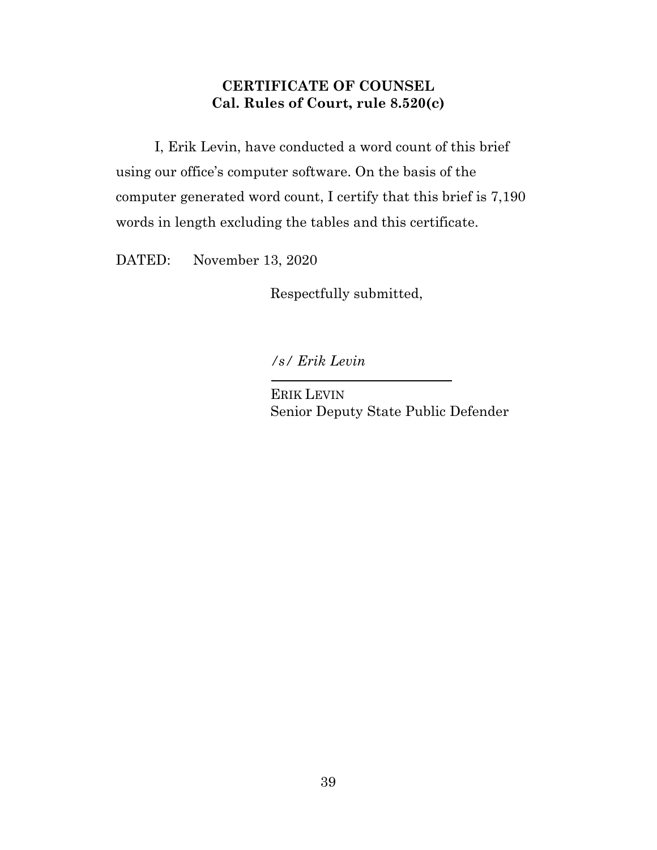## **CERTIFICATE OF COUNSEL Cal. Rules of Court, rule 8.520(c)**

<span id="page-38-0"></span>I, Erik Levin, have conducted a word count of this brief using our office's computer software. On the basis of the computer generated word count, I certify that this brief is 7,190 words in length excluding the tables and this certificate.

DATED: November 13, 2020

Respectfully submitted,

*/s/ Erik Levin*

ERIK LEVIN Senior Deputy State Public Defender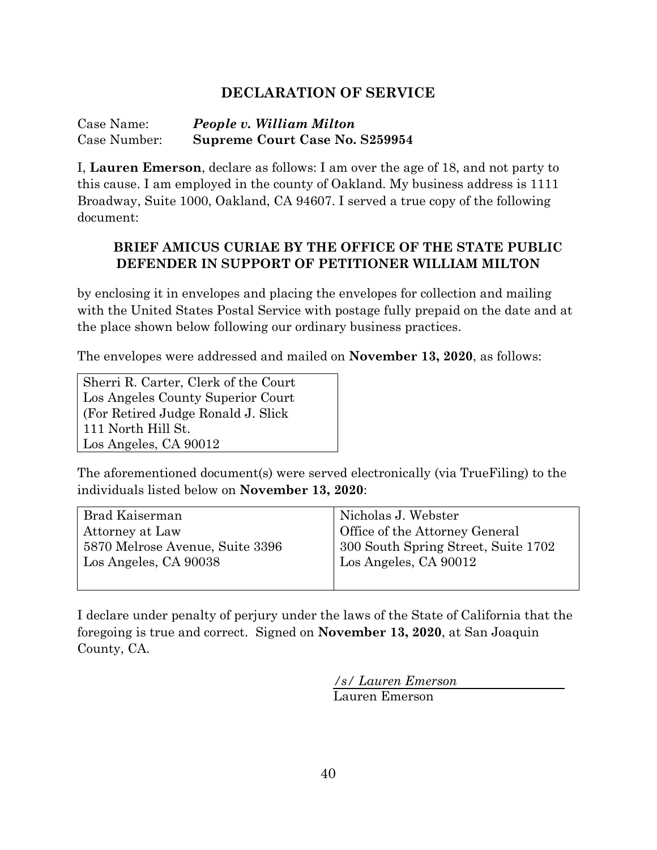## **DECLARATION OF SERVICE**

Case Name: *People v. William Milton* Case Number: **Supreme Court Case No. S259954**

I, **Lauren Emerson**, declare as follows: I am over the age of 18, and not party to this cause. I am employed in the county of Oakland. My business address is 1111 Broadway, Suite 1000, Oakland, CA 94607. I served a true copy of the following document:

### **BRIEF AMICUS CURIAE BY THE OFFICE OF THE STATE PUBLIC DEFENDER IN SUPPORT OF PETITIONER WILLIAM MILTON**

by enclosing it in envelopes and placing the envelopes for collection and mailing with the United States Postal Service with postage fully prepaid on the date and at the place shown below following our ordinary business practices.

The envelopes were addressed and mailed on **November 13, 2020**, as follows:

Sherri R. Carter, Clerk of the Court Los Angeles County Superior Court (For Retired Judge Ronald J. Slick 111 North Hill St. Los Angeles, CA 90012

The aforementioned document(s) were served electronically (via TrueFiling) to the individuals listed below on **November 13, 2020**:

| Brad Kaiserman                  | Nicholas J. Webster                 |
|---------------------------------|-------------------------------------|
| Attorney at Law                 | Office of the Attorney General      |
| 5870 Melrose Avenue, Suite 3396 | 300 South Spring Street, Suite 1702 |
| Los Angeles, CA 90038           | Los Angeles, CA 90012               |
|                                 |                                     |

I declare under penalty of perjury under the laws of the State of California that the foregoing is true and correct. Signed on **November 13, 2020**, at San Joaquin County, CA.

*/s/ Lauren Emerson*

Lauren Emerson